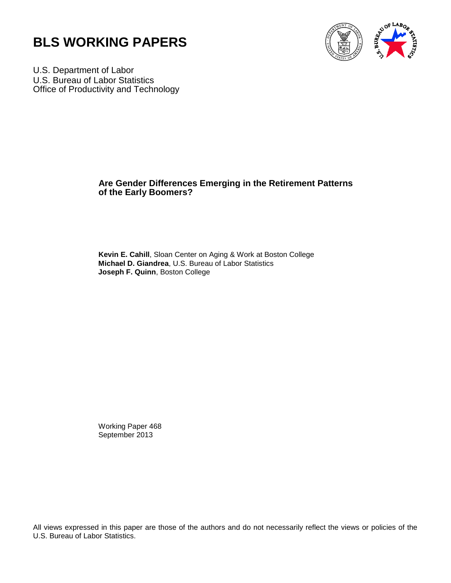



U.S. Department of Labor U.S. Bureau of Labor Statistics Office of Productivity and Technology

## **Are Gender Differences Emerging in the Retirement Patterns of the Early Boomers?**

 **Kevin E. Cahill**, Sloan Center on Aging & Work at Boston College **Michael D. Giandrea**, U.S. Bureau of Labor Statistics **Joseph F. Quinn**, Boston College

 Working Paper 468 September 2013

All views expressed in this paper are those of the authors and do not necessarily reflect the views or policies of the U.S. Bureau of Labor Statistics.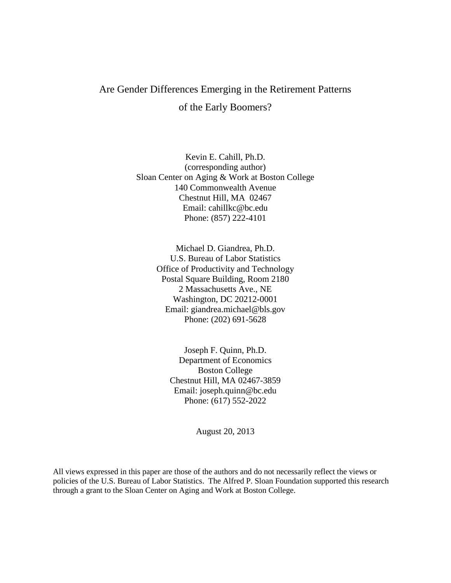# Are Gender Differences Emerging in the Retirement Patterns of the Early Boomers?

Kevin E. Cahill, Ph.D. (corresponding author) Sloan Center on Aging & Work at Boston College 140 Commonwealth Avenue Chestnut Hill, MA 02467 Email: cahillkc@bc.edu Phone: (857) 222-4101

> Michael D. Giandrea, Ph.D. U.S. Bureau of Labor Statistics Office of Productivity and Technology Postal Square Building, Room 2180 2 Massachusetts Ave., NE Washington, DC 20212-0001 Email: [giandrea.michael@bls.gov](mailto:giandrea.michael@bls.gov) Phone: (202) 691-5628

Joseph F. Quinn, Ph.D. Department of Economics Boston College Chestnut Hill, MA 02467-3859 Email: [joseph.quinn@bc.edu](mailto:joseph.quinn@bc.edu) Phone: (617) 552-2022

August 20, 2013

All views expressed in this paper are those of the authors and do not necessarily reflect the views or policies of the U.S. Bureau of Labor Statistics. The Alfred P. Sloan Foundation supported this research through a grant to the Sloan Center on Aging and Work at Boston College.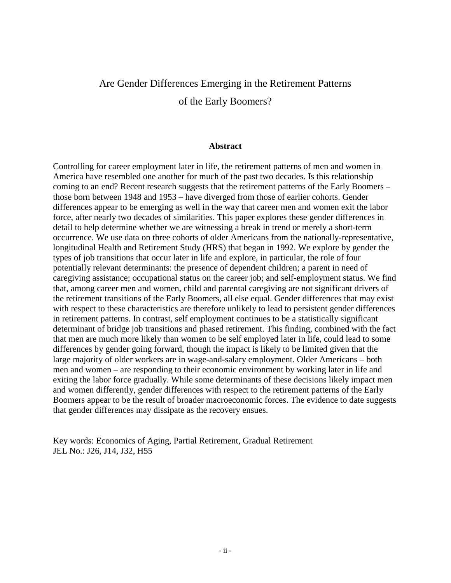# Are Gender Differences Emerging in the Retirement Patterns

of the Early Boomers?

### **Abstract**

Controlling for career employment later in life, the retirement patterns of men and women in America have resembled one another for much of the past two decades. Is this relationship coming to an end? Recent research suggests that the retirement patterns of the Early Boomers – those born between 1948 and 1953 – have diverged from those of earlier cohorts. Gender differences appear to be emerging as well in the way that career men and women exit the labor force, after nearly two decades of similarities. This paper explores these gender differences in detail to help determine whether we are witnessing a break in trend or merely a short-term occurrence. We use data on three cohorts of older Americans from the nationally-representative, longitudinal Health and Retirement Study (HRS) that began in 1992. We explore by gender the types of job transitions that occur later in life and explore, in particular, the role of four potentially relevant determinants: the presence of dependent children; a parent in need of caregiving assistance; occupational status on the career job; and self-employment status. We find that, among career men and women, child and parental caregiving are not significant drivers of the retirement transitions of the Early Boomers, all else equal. Gender differences that may exist with respect to these characteristics are therefore unlikely to lead to persistent gender differences in retirement patterns. In contrast, self employment continues to be a statistically significant determinant of bridge job transitions and phased retirement. This finding, combined with the fact that men are much more likely than women to be self employed later in life, could lead to some differences by gender going forward, though the impact is likely to be limited given that the large majority of older workers are in wage-and-salary employment. Older Americans – both men and women – are responding to their economic environment by working later in life and exiting the labor force gradually. While some determinants of these decisions likely impact men and women differently, gender differences with respect to the retirement patterns of the Early Boomers appear to be the result of broader macroeconomic forces. The evidence to date suggests that gender differences may dissipate as the recovery ensues.

Key words: Economics of Aging, Partial Retirement, Gradual Retirement JEL No.: J26, J14, J32, H55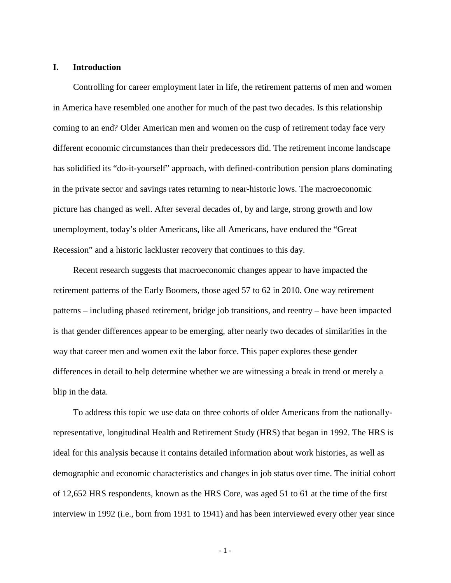## **I. Introduction**

Controlling for career employment later in life, the retirement patterns of men and women in America have resembled one another for much of the past two decades. Is this relationship coming to an end? Older American men and women on the cusp of retirement today face very different economic circumstances than their predecessors did. The retirement income landscape has solidified its "do-it-yourself" approach, with defined-contribution pension plans dominating in the private sector and savings rates returning to near-historic lows. The macroeconomic picture has changed as well. After several decades of, by and large, strong growth and low unemployment, today's older Americans, like all Americans, have endured the "Great Recession" and a historic lackluster recovery that continues to this day.

Recent research suggests that macroeconomic changes appear to have impacted the retirement patterns of the Early Boomers, those aged 57 to 62 in 2010. One way retirement patterns – including phased retirement, bridge job transitions, and reentry – have been impacted is that gender differences appear to be emerging, after nearly two decades of similarities in the way that career men and women exit the labor force. This paper explores these gender differences in detail to help determine whether we are witnessing a break in trend or merely a blip in the data.

To address this topic we use data on three cohorts of older Americans from the nationallyrepresentative, longitudinal Health and Retirement Study (HRS) that began in 1992. The HRS is ideal for this analysis because it contains detailed information about work histories, as well as demographic and economic characteristics and changes in job status over time. The initial cohort of 12,652 HRS respondents, known as the HRS Core, was aged 51 to 61 at the time of the first interview in 1992 (i.e., born from 1931 to 1941) and has been interviewed every other year since

- 1 -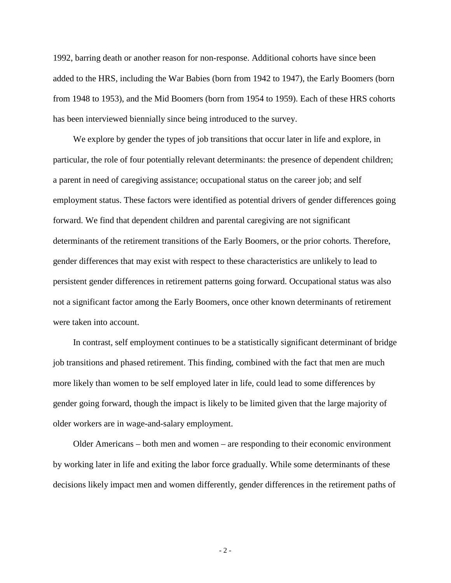1992, barring death or another reason for non-response. Additional cohorts have since been added to the HRS, including the War Babies (born from 1942 to 1947), the Early Boomers (born from 1948 to 1953), and the Mid Boomers (born from 1954 to 1959). Each of these HRS cohorts has been interviewed biennially since being introduced to the survey.

We explore by gender the types of job transitions that occur later in life and explore, in particular, the role of four potentially relevant determinants: the presence of dependent children; a parent in need of caregiving assistance; occupational status on the career job; and self employment status. These factors were identified as potential drivers of gender differences going forward. We find that dependent children and parental caregiving are not significant determinants of the retirement transitions of the Early Boomers, or the prior cohorts. Therefore, gender differences that may exist with respect to these characteristics are unlikely to lead to persistent gender differences in retirement patterns going forward. Occupational status was also not a significant factor among the Early Boomers, once other known determinants of retirement were taken into account.

In contrast, self employment continues to be a statistically significant determinant of bridge job transitions and phased retirement. This finding, combined with the fact that men are much more likely than women to be self employed later in life, could lead to some differences by gender going forward, though the impact is likely to be limited given that the large majority of older workers are in wage-and-salary employment.

Older Americans – both men and women – are responding to their economic environment by working later in life and exiting the labor force gradually. While some determinants of these decisions likely impact men and women differently, gender differences in the retirement paths of

- 2 -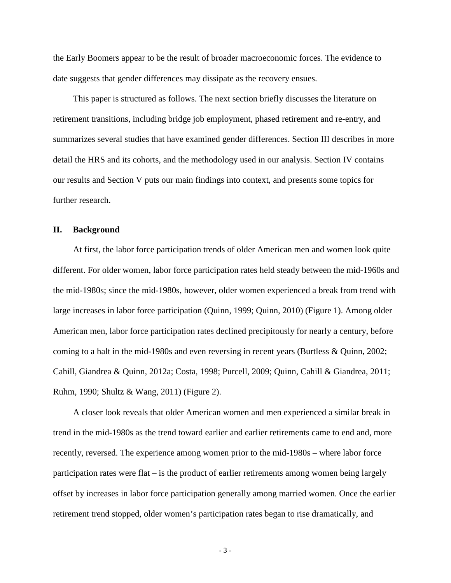the Early Boomers appear to be the result of broader macroeconomic forces. The evidence to date suggests that gender differences may dissipate as the recovery ensues.

This paper is structured as follows. The next section briefly discusses the literature on retirement transitions, including bridge job employment, phased retirement and re-entry, and summarizes several studies that have examined gender differences. Section III describes in more detail the HRS and its cohorts, and the methodology used in our analysis. Section IV contains our results and Section V puts our main findings into context, and presents some topics for further research.

### **II. Background**

At first, the labor force participation trends of older American men and women look quite different. For older women, labor force participation rates held steady between the mid-1960s and the mid-1980s; since the mid-1980s, however, older women experienced a break from trend with large increases in labor force participation (Quinn, 1999; Quinn, 2010) (Figure 1). Among older American men, labor force participation rates declined precipitously for nearly a century, before coming to a halt in the mid-1980s and even reversing in recent years (Burtless & Quinn, 2002; Cahill, Giandrea & Quinn, 2012a; Costa, 1998; Purcell, 2009; Quinn, Cahill & Giandrea, 2011; Ruhm, 1990; Shultz & Wang, 2011) (Figure 2).

A closer look reveals that older American women and men experienced a similar break in trend in the mid-1980s as the trend toward earlier and earlier retirements came to end and, more recently, reversed. The experience among women prior to the mid-1980s – where labor force participation rates were flat – is the product of earlier retirements among women being largely offset by increases in labor force participation generally among married women. Once the earlier retirement trend stopped, older women's participation rates began to rise dramatically, and

- 3 -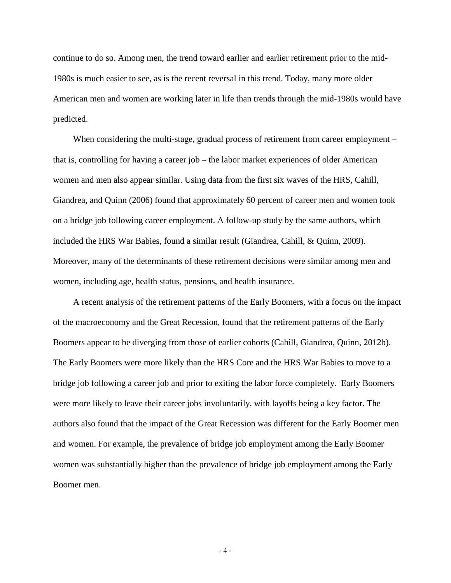continue to do so. Among men, the trend toward earlier and earlier retirement prior to the mid-1980s is much easier to see, as is the recent reversal in this trend. Today, many more older American men and women are working later in life than trends through the mid-1980s would have predicted.

When considering the multi-stage, gradual process of retirement from career employment – that is, controlling for having a career job – the labor market experiences of older American women and men also appear similar. Using data from the first six waves of the HRS, Cahill, Giandrea, and Quinn (2006) found that approximately 60 percent of career men and women took on a bridge job following career employment. A follow-up study by the same authors, which included the HRS War Babies, found a similar result (Giandrea, Cahill, & Quinn, 2009). Moreover, many of the determinants of these retirement decisions were similar among men and women, including age, health status, pensions, and health insurance.

A recent analysis of the retirement patterns of the Early Boomers, with a focus on the impact of the macroeconomy and the Great Recession, found that the retirement patterns of the Early Boomers appear to be diverging from those of earlier cohorts (Cahill, Giandrea, Quinn, 2012b). The Early Boomers were more likely than the HRS Core and the HRS War Babies to move to a bridge job following a career job and prior to exiting the labor force completely. Early Boomers were more likely to leave their career jobs involuntarily, with layoffs being a key factor. The authors also found that the impact of the Great Recession was different for the Early Boomer men and women. For example, the prevalence of bridge job employment among the Early Boomer women was substantially higher than the prevalence of bridge job employment among the Early Boomer men.

- 4 -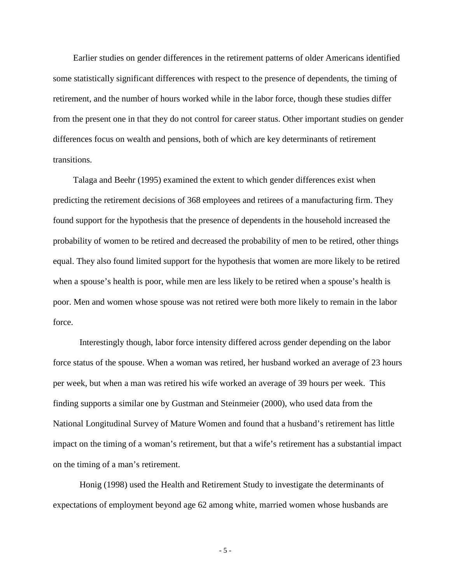Earlier studies on gender differences in the retirement patterns of older Americans identified some statistically significant differences with respect to the presence of dependents, the timing of retirement, and the number of hours worked while in the labor force, though these studies differ from the present one in that they do not control for career status. Other important studies on gender differences focus on wealth and pensions, both of which are key determinants of retirement transitions.

Talaga and Beehr (1995) examined the extent to which gender differences exist when predicting the retirement decisions of 368 employees and retirees of a manufacturing firm. They found support for the hypothesis that the presence of dependents in the household increased the probability of women to be retired and decreased the probability of men to be retired, other things equal. They also found limited support for the hypothesis that women are more likely to be retired when a spouse's health is poor, while men are less likely to be retired when a spouse's health is poor. Men and women whose spouse was not retired were both more likely to remain in the labor force.

Interestingly though, labor force intensity differed across gender depending on the labor force status of the spouse. When a woman was retired, her husband worked an average of 23 hours per week, but when a man was retired his wife worked an average of 39 hours per week. This finding supports a similar one by Gustman and Steinmeier (2000), who used data from the National Longitudinal Survey of Mature Women and found that a husband's retirement has little impact on the timing of a woman's retirement, but that a wife's retirement has a substantial impact on the timing of a man's retirement.

Honig (1998) used the Health and Retirement Study to investigate the determinants of expectations of employment beyond age 62 among white, married women whose husbands are

- 5 -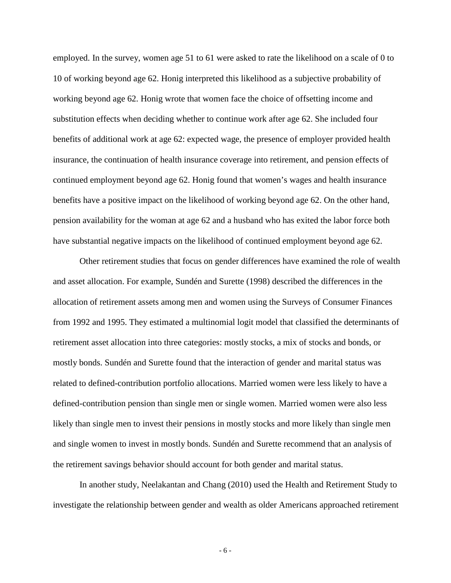employed. In the survey, women age 51 to 61 were asked to rate the likelihood on a scale of 0 to 10 of working beyond age 62. Honig interpreted this likelihood as a subjective probability of working beyond age 62. Honig wrote that women face the choice of offsetting income and substitution effects when deciding whether to continue work after age 62. She included four benefits of additional work at age 62: expected wage, the presence of employer provided health insurance, the continuation of health insurance coverage into retirement, and pension effects of continued employment beyond age 62. Honig found that women's wages and health insurance benefits have a positive impact on the likelihood of working beyond age 62. On the other hand, pension availability for the woman at age 62 and a husband who has exited the labor force both have substantial negative impacts on the likelihood of continued employment beyond age 62.

Other retirement studies that focus on gender differences have examined the role of wealth and asset allocation. For example, Sundén and Surette (1998) described the differences in the allocation of retirement assets among men and women using the Surveys of Consumer Finances from 1992 and 1995. They estimated a multinomial logit model that classified the determinants of retirement asset allocation into three categories: mostly stocks, a mix of stocks and bonds, or mostly bonds. Sundén and Surette found that the interaction of gender and marital status was related to defined-contribution portfolio allocations. Married women were less likely to have a defined-contribution pension than single men or single women. Married women were also less likely than single men to invest their pensions in mostly stocks and more likely than single men and single women to invest in mostly bonds. Sundén and Surette recommend that an analysis of the retirement savings behavior should account for both gender and marital status.

In another study, Neelakantan and Chang (2010) used the Health and Retirement Study to investigate the relationship between gender and wealth as older Americans approached retirement

- 6 -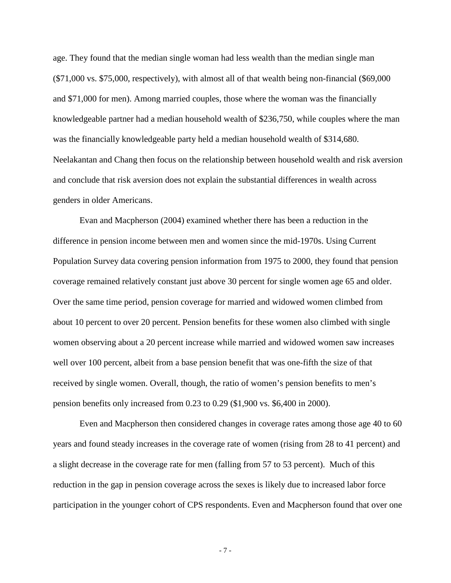age. They found that the median single woman had less wealth than the median single man (\$71,000 vs. \$75,000, respectively), with almost all of that wealth being non-financial (\$69,000 and \$71,000 for men). Among married couples, those where the woman was the financially knowledgeable partner had a median household wealth of \$236,750, while couples where the man was the financially knowledgeable party held a median household wealth of \$314,680. Neelakantan and Chang then focus on the relationship between household wealth and risk aversion and conclude that risk aversion does not explain the substantial differences in wealth across genders in older Americans.

Evan and Macpherson (2004) examined whether there has been a reduction in the difference in pension income between men and women since the mid-1970s. Using Current Population Survey data covering pension information from 1975 to 2000, they found that pension coverage remained relatively constant just above 30 percent for single women age 65 and older. Over the same time period, pension coverage for married and widowed women climbed from about 10 percent to over 20 percent. Pension benefits for these women also climbed with single women observing about a 20 percent increase while married and widowed women saw increases well over 100 percent, albeit from a base pension benefit that was one-fifth the size of that received by single women. Overall, though, the ratio of women's pension benefits to men's pension benefits only increased from 0.23 to 0.29 (\$1,900 vs. \$6,400 in 2000).

Even and Macpherson then considered changes in coverage rates among those age 40 to 60 years and found steady increases in the coverage rate of women (rising from 28 to 41 percent) and a slight decrease in the coverage rate for men (falling from 57 to 53 percent). Much of this reduction in the gap in pension coverage across the sexes is likely due to increased labor force participation in the younger cohort of CPS respondents. Even and Macpherson found that over one

- 7 -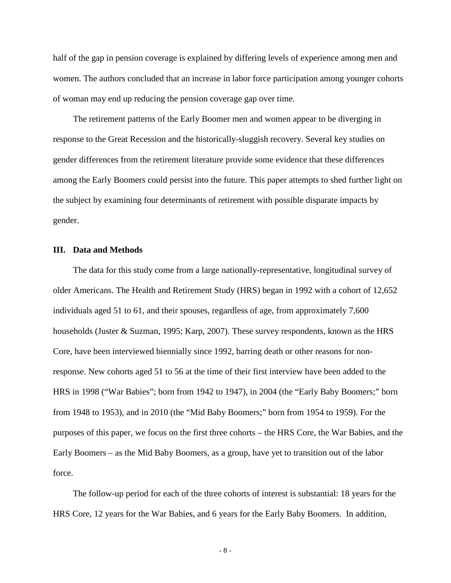half of the gap in pension coverage is explained by differing levels of experience among men and women. The authors concluded that an increase in labor force participation among younger cohorts of woman may end up reducing the pension coverage gap over time.

The retirement patterns of the Early Boomer men and women appear to be diverging in response to the Great Recession and the historically-sluggish recovery. Several key studies on gender differences from the retirement literature provide some evidence that these differences among the Early Boomers could persist into the future. This paper attempts to shed further light on the subject by examining four determinants of retirement with possible disparate impacts by gender.

### **III. Data and Methods**

The data for this study come from a large nationally-representative, longitudinal survey of older Americans. The Health and Retirement Study (HRS) began in 1992 with a cohort of 12,652 individuals aged 51 to 61, and their spouses, regardless of age, from approximately 7,600 households (Juster & Suzman, 1995; Karp, 2007). These survey respondents, known as the HRS Core, have been interviewed biennially since 1992, barring death or other reasons for nonresponse. New cohorts aged 51 to 56 at the time of their first interview have been added to the HRS in 1998 ("War Babies"; born from 1942 to 1947), in 2004 (the "Early Baby Boomers;" born from 1948 to 1953), and in 2010 (the "Mid Baby Boomers;" born from 1954 to 1959). For the purposes of this paper, we focus on the first three cohorts – the HRS Core, the War Babies, and the Early Boomers – as the Mid Baby Boomers, as a group, have yet to transition out of the labor force.

The follow-up period for each of the three cohorts of interest is substantial: 18 years for the HRS Core, 12 years for the War Babies, and 6 years for the Early Baby Boomers. In addition,

- 8 -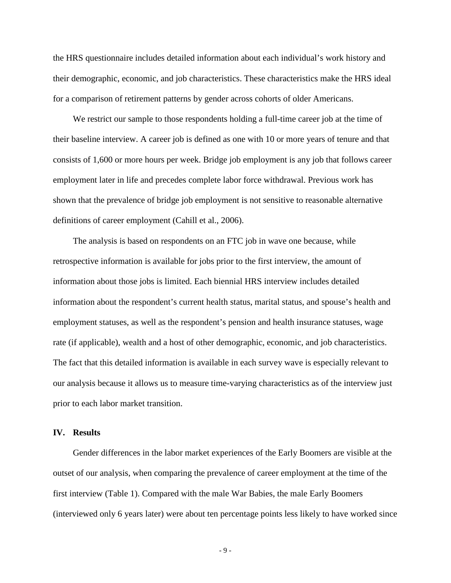the HRS questionnaire includes detailed information about each individual's work history and their demographic, economic, and job characteristics. These characteristics make the HRS ideal for a comparison of retirement patterns by gender across cohorts of older Americans.

We restrict our sample to those respondents holding a full-time career job at the time of their baseline interview. A career job is defined as one with 10 or more years of tenure and that consists of 1,600 or more hours per week. Bridge job employment is any job that follows career employment later in life and precedes complete labor force withdrawal. Previous work has shown that the prevalence of bridge job employment is not sensitive to reasonable alternative definitions of career employment (Cahill et al., 2006).

The analysis is based on respondents on an FTC job in wave one because, while retrospective information is available for jobs prior to the first interview, the amount of information about those jobs is limited. Each biennial HRS interview includes detailed information about the respondent's current health status, marital status, and spouse's health and employment statuses, as well as the respondent's pension and health insurance statuses, wage rate (if applicable), wealth and a host of other demographic, economic, and job characteristics. The fact that this detailed information is available in each survey wave is especially relevant to our analysis because it allows us to measure time-varying characteristics as of the interview just prior to each labor market transition.

## **IV. Results**

Gender differences in the labor market experiences of the Early Boomers are visible at the outset of our analysis, when comparing the prevalence of career employment at the time of the first interview (Table 1). Compared with the male War Babies, the male Early Boomers (interviewed only 6 years later) were about ten percentage points less likely to have worked since

- 9 -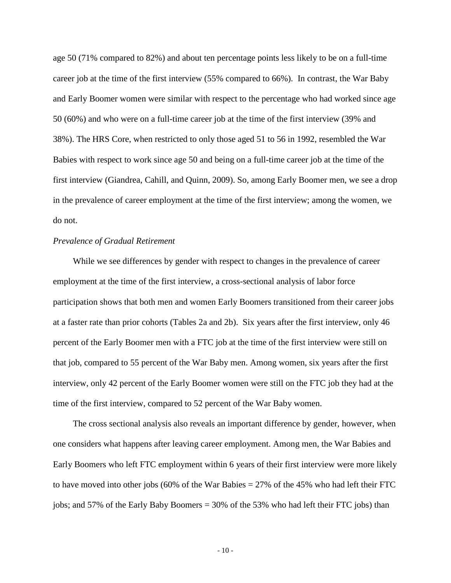age 50 (71% compared to 82%) and about ten percentage points less likely to be on a full-time career job at the time of the first interview (55% compared to 66%). In contrast, the War Baby and Early Boomer women were similar with respect to the percentage who had worked since age 50 (60%) and who were on a full-time career job at the time of the first interview (39% and 38%). The HRS Core, when restricted to only those aged 51 to 56 in 1992, resembled the War Babies with respect to work since age 50 and being on a full-time career job at the time of the first interview (Giandrea, Cahill, and Quinn, 2009). So, among Early Boomer men, we see a drop in the prevalence of career employment at the time of the first interview; among the women, we do not.

### *Prevalence of Gradual Retirement*

While we see differences by gender with respect to changes in the prevalence of career employment at the time of the first interview, a cross-sectional analysis of labor force participation shows that both men and women Early Boomers transitioned from their career jobs at a faster rate than prior cohorts (Tables 2a and 2b). Six years after the first interview, only 46 percent of the Early Boomer men with a FTC job at the time of the first interview were still on that job, compared to 55 percent of the War Baby men. Among women, six years after the first interview, only 42 percent of the Early Boomer women were still on the FTC job they had at the time of the first interview, compared to 52 percent of the War Baby women.

The cross sectional analysis also reveals an important difference by gender, however, when one considers what happens after leaving career employment. Among men, the War Babies and Early Boomers who left FTC employment within 6 years of their first interview were more likely to have moved into other jobs (60% of the War Babies = 27% of the 45% who had left their FTC jobs; and 57% of the Early Baby Boomers = 30% of the 53% who had left their FTC jobs) than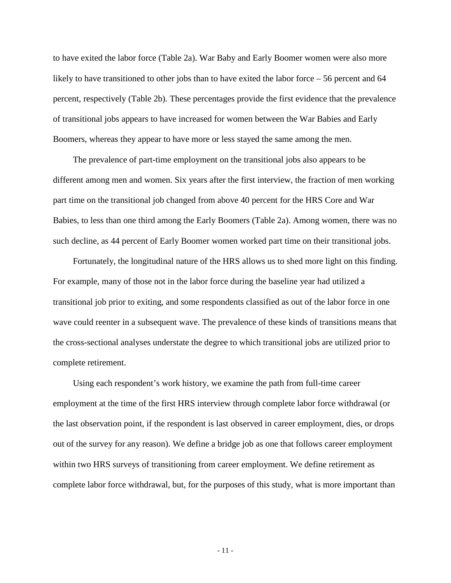to have exited the labor force (Table 2a). War Baby and Early Boomer women were also more likely to have transitioned to other jobs than to have exited the labor force – 56 percent and 64 percent, respectively (Table 2b). These percentages provide the first evidence that the prevalence of transitional jobs appears to have increased for women between the War Babies and Early Boomers, whereas they appear to have more or less stayed the same among the men.

The prevalence of part-time employment on the transitional jobs also appears to be different among men and women. Six years after the first interview, the fraction of men working part time on the transitional job changed from above 40 percent for the HRS Core and War Babies, to less than one third among the Early Boomers (Table 2a). Among women, there was no such decline, as 44 percent of Early Boomer women worked part time on their transitional jobs.

Fortunately, the longitudinal nature of the HRS allows us to shed more light on this finding. For example, many of those not in the labor force during the baseline year had utilized a transitional job prior to exiting, and some respondents classified as out of the labor force in one wave could reenter in a subsequent wave. The prevalence of these kinds of transitions means that the cross-sectional analyses understate the degree to which transitional jobs are utilized prior to complete retirement.

Using each respondent's work history, we examine the path from full-time career employment at the time of the first HRS interview through complete labor force withdrawal (or the last observation point, if the respondent is last observed in career employment, dies, or drops out of the survey for any reason). We define a bridge job as one that follows career employment within two HRS surveys of transitioning from career employment. We define retirement as complete labor force withdrawal, but, for the purposes of this study, what is more important than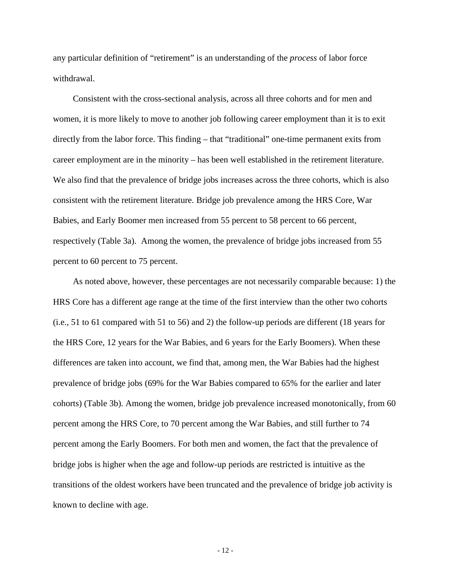any particular definition of "retirement" is an understanding of the *process* of labor force withdrawal.

Consistent with the cross-sectional analysis, across all three cohorts and for men and women, it is more likely to move to another job following career employment than it is to exit directly from the labor force. This finding – that "traditional" one-time permanent exits from career employment are in the minority – has been well established in the retirement literature. We also find that the prevalence of bridge jobs increases across the three cohorts, which is also consistent with the retirement literature. Bridge job prevalence among the HRS Core, War Babies, and Early Boomer men increased from 55 percent to 58 percent to 66 percent, respectively (Table 3a). Among the women, the prevalence of bridge jobs increased from 55 percent to 60 percent to 75 percent.

As noted above, however, these percentages are not necessarily comparable because: 1) the HRS Core has a different age range at the time of the first interview than the other two cohorts (i.e., 51 to 61 compared with 51 to 56) and 2) the follow-up periods are different (18 years for the HRS Core, 12 years for the War Babies, and 6 years for the Early Boomers). When these differences are taken into account, we find that, among men, the War Babies had the highest prevalence of bridge jobs (69% for the War Babies compared to 65% for the earlier and later cohorts) (Table 3b). Among the women, bridge job prevalence increased monotonically, from 60 percent among the HRS Core, to 70 percent among the War Babies, and still further to 74 percent among the Early Boomers. For both men and women, the fact that the prevalence of bridge jobs is higher when the age and follow-up periods are restricted is intuitive as the transitions of the oldest workers have been truncated and the prevalence of bridge job activity is known to decline with age.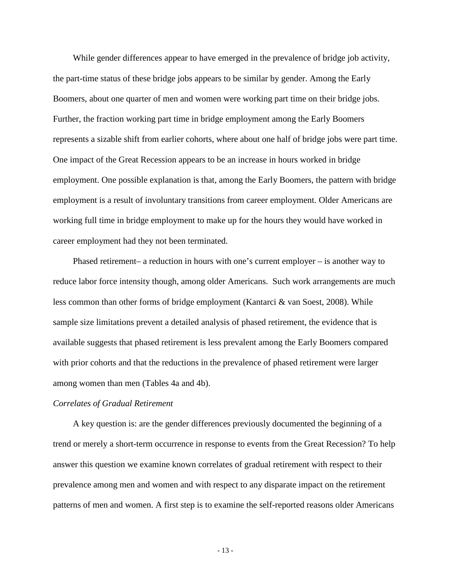While gender differences appear to have emerged in the prevalence of bridge job activity, the part-time status of these bridge jobs appears to be similar by gender. Among the Early Boomers, about one quarter of men and women were working part time on their bridge jobs. Further, the fraction working part time in bridge employment among the Early Boomers represents a sizable shift from earlier cohorts, where about one half of bridge jobs were part time. One impact of the Great Recession appears to be an increase in hours worked in bridge employment. One possible explanation is that, among the Early Boomers, the pattern with bridge employment is a result of involuntary transitions from career employment. Older Americans are working full time in bridge employment to make up for the hours they would have worked in career employment had they not been terminated.

Phased retirement– a reduction in hours with one's current employer – is another way to reduce labor force intensity though, among older Americans. Such work arrangements are much less common than other forms of bridge employment (Kantarci & van Soest, 2008). While sample size limitations prevent a detailed analysis of phased retirement, the evidence that is available suggests that phased retirement is less prevalent among the Early Boomers compared with prior cohorts and that the reductions in the prevalence of phased retirement were larger among women than men (Tables 4a and 4b).

### *Correlates of Gradual Retirement*

A key question is: are the gender differences previously documented the beginning of a trend or merely a short-term occurrence in response to events from the Great Recession? To help answer this question we examine known correlates of gradual retirement with respect to their prevalence among men and women and with respect to any disparate impact on the retirement patterns of men and women. A first step is to examine the self-reported reasons older Americans

- 13 -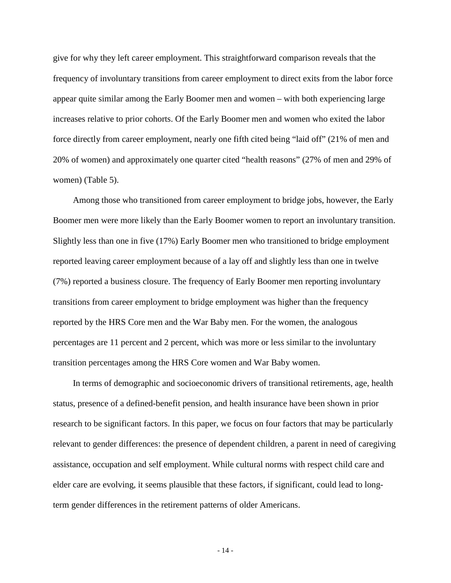give for why they left career employment. This straightforward comparison reveals that the frequency of involuntary transitions from career employment to direct exits from the labor force appear quite similar among the Early Boomer men and women – with both experiencing large increases relative to prior cohorts. Of the Early Boomer men and women who exited the labor force directly from career employment, nearly one fifth cited being "laid off" (21% of men and 20% of women) and approximately one quarter cited "health reasons" (27% of men and 29% of women) (Table 5).

Among those who transitioned from career employment to bridge jobs, however, the Early Boomer men were more likely than the Early Boomer women to report an involuntary transition. Slightly less than one in five (17%) Early Boomer men who transitioned to bridge employment reported leaving career employment because of a lay off and slightly less than one in twelve (7%) reported a business closure. The frequency of Early Boomer men reporting involuntary transitions from career employment to bridge employment was higher than the frequency reported by the HRS Core men and the War Baby men. For the women, the analogous percentages are 11 percent and 2 percent, which was more or less similar to the involuntary transition percentages among the HRS Core women and War Baby women.

In terms of demographic and socioeconomic drivers of transitional retirements, age, health status, presence of a defined-benefit pension, and health insurance have been shown in prior research to be significant factors. In this paper, we focus on four factors that may be particularly relevant to gender differences: the presence of dependent children, a parent in need of caregiving assistance, occupation and self employment. While cultural norms with respect child care and elder care are evolving, it seems plausible that these factors, if significant, could lead to longterm gender differences in the retirement patterns of older Americans.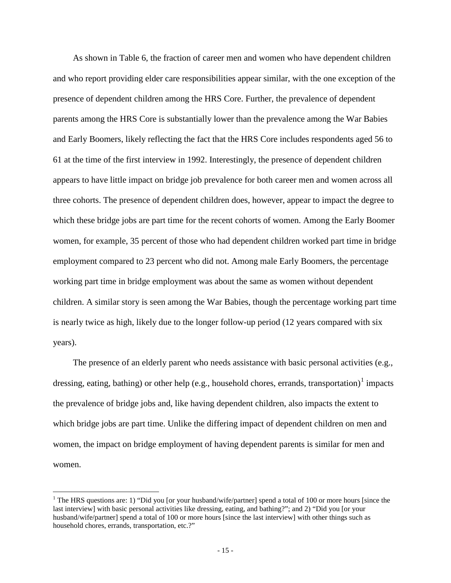As shown in Table 6, the fraction of career men and women who have dependent children and who report providing elder care responsibilities appear similar, with the one exception of the presence of dependent children among the HRS Core. Further, the prevalence of dependent parents among the HRS Core is substantially lower than the prevalence among the War Babies and Early Boomers, likely reflecting the fact that the HRS Core includes respondents aged 56 to 61 at the time of the first interview in 1992. Interestingly, the presence of dependent children appears to have little impact on bridge job prevalence for both career men and women across all three cohorts. The presence of dependent children does, however, appear to impact the degree to which these bridge jobs are part time for the recent cohorts of women. Among the Early Boomer women, for example, 35 percent of those who had dependent children worked part time in bridge employment compared to 23 percent who did not. Among male Early Boomers, the percentage working part time in bridge employment was about the same as women without dependent children. A similar story is seen among the War Babies, though the percentage working part time is nearly twice as high, likely due to the longer follow-up period (12 years compared with six years).

The presence of an elderly parent who needs assistance with basic personal activities (e.g., dressing, eating, bathing) or other help (e.g., household chores, errands, transportation)<sup>[1](#page-17-0)</sup> impacts the prevalence of bridge jobs and, like having dependent children, also impacts the extent to which bridge jobs are part time. Unlike the differing impact of dependent children on men and women, the impact on bridge employment of having dependent parents is similar for men and women.

 $\overline{a}$ 

<span id="page-17-0"></span><sup>&</sup>lt;sup>1</sup> The HRS questions are: 1) "Did you [or your husband/wife/partner] spend a total of 100 or more hours [since the last interview] with basic personal activities like dressing, eating, and bathing?"; and 2) "Did you [or your husband/wife/partner] spend a total of 100 or more hours [since the last interview] with other things such as household chores, errands, transportation, etc.?"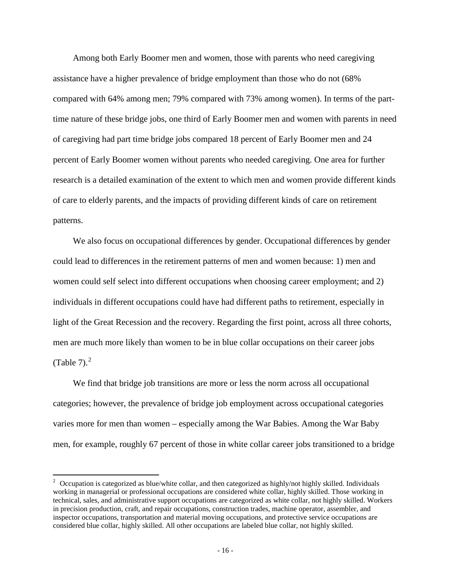Among both Early Boomer men and women, those with parents who need caregiving assistance have a higher prevalence of bridge employment than those who do not (68% compared with 64% among men; 79% compared with 73% among women). In terms of the parttime nature of these bridge jobs, one third of Early Boomer men and women with parents in need of caregiving had part time bridge jobs compared 18 percent of Early Boomer men and 24 percent of Early Boomer women without parents who needed caregiving. One area for further research is a detailed examination of the extent to which men and women provide different kinds of care to elderly parents, and the impacts of providing different kinds of care on retirement patterns.

We also focus on occupational differences by gender. Occupational differences by gender could lead to differences in the retirement patterns of men and women because: 1) men and women could self select into different occupations when choosing career employment; and 2) individuals in different occupations could have had different paths to retirement, especially in light of the Great Recession and the recovery. Regarding the first point, across all three cohorts, men are much more likely than women to be in blue collar occupations on their career jobs (Table 7). $<sup>2</sup>$  $<sup>2</sup>$  $<sup>2</sup>$ </sup>

We find that bridge job transitions are more or less the norm across all occupational categories; however, the prevalence of bridge job employment across occupational categories varies more for men than women – especially among the War Babies. Among the War Baby men, for example, roughly 67 percent of those in white collar career jobs transitioned to a bridge

 $\overline{a}$ 

<span id="page-18-0"></span> $2$  Occupation is categorized as blue/white collar, and then categorized as highly/not highly skilled. Individuals working in managerial or professional occupations are considered white collar, highly skilled. Those working in technical, sales, and administrative support occupations are categorized as white collar, not highly skilled. Workers in precision production, craft, and repair occupations, construction trades, machine operator, assembler, and inspector occupations, transportation and material moving occupations, and protective service occupations are considered blue collar, highly skilled. All other occupations are labeled blue collar, not highly skilled.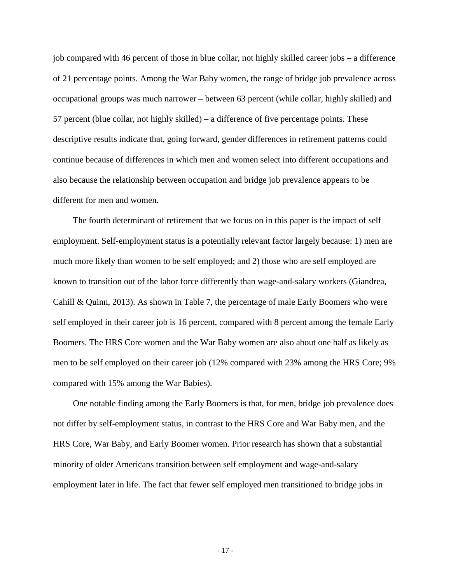job compared with 46 percent of those in blue collar, not highly skilled career jobs – a difference of 21 percentage points. Among the War Baby women, the range of bridge job prevalence across occupational groups was much narrower – between 63 percent (while collar, highly skilled) and 57 percent (blue collar, not highly skilled) – a difference of five percentage points. These descriptive results indicate that, going forward, gender differences in retirement patterns could continue because of differences in which men and women select into different occupations and also because the relationship between occupation and bridge job prevalence appears to be different for men and women.

The fourth determinant of retirement that we focus on in this paper is the impact of self employment. Self-employment status is a potentially relevant factor largely because: 1) men are much more likely than women to be self employed; and 2) those who are self employed are known to transition out of the labor force differently than wage-and-salary workers (Giandrea, Cahill & Quinn, 2013). As shown in Table 7, the percentage of male Early Boomers who were self employed in their career job is 16 percent, compared with 8 percent among the female Early Boomers. The HRS Core women and the War Baby women are also about one half as likely as men to be self employed on their career job (12% compared with 23% among the HRS Core; 9% compared with 15% among the War Babies).

One notable finding among the Early Boomers is that, for men, bridge job prevalence does not differ by self-employment status, in contrast to the HRS Core and War Baby men, and the HRS Core, War Baby, and Early Boomer women. Prior research has shown that a substantial minority of older Americans transition between self employment and wage-and-salary employment later in life. The fact that fewer self employed men transitioned to bridge jobs in

- 17 -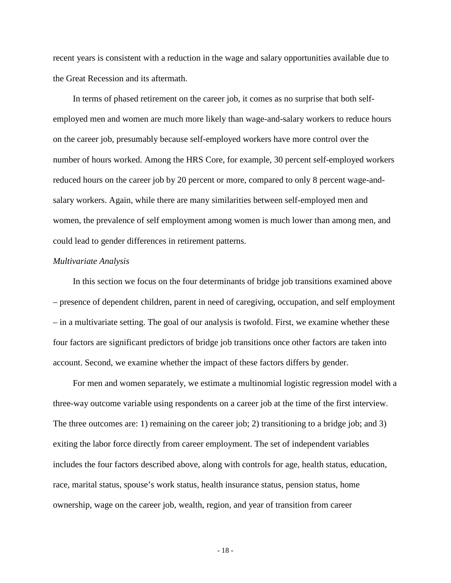recent years is consistent with a reduction in the wage and salary opportunities available due to the Great Recession and its aftermath.

In terms of phased retirement on the career job, it comes as no surprise that both selfemployed men and women are much more likely than wage-and-salary workers to reduce hours on the career job, presumably because self-employed workers have more control over the number of hours worked. Among the HRS Core, for example, 30 percent self-employed workers reduced hours on the career job by 20 percent or more, compared to only 8 percent wage-andsalary workers. Again, while there are many similarities between self-employed men and women, the prevalence of self employment among women is much lower than among men, and could lead to gender differences in retirement patterns.

### *Multivariate Analysis*

In this section we focus on the four determinants of bridge job transitions examined above – presence of dependent children, parent in need of caregiving, occupation, and self employment – in a multivariate setting. The goal of our analysis is twofold. First, we examine whether these four factors are significant predictors of bridge job transitions once other factors are taken into account. Second, we examine whether the impact of these factors differs by gender.

For men and women separately, we estimate a multinomial logistic regression model with a three-way outcome variable using respondents on a career job at the time of the first interview. The three outcomes are: 1) remaining on the career job; 2) transitioning to a bridge job; and 3) exiting the labor force directly from career employment. The set of independent variables includes the four factors described above, along with controls for age, health status, education, race, marital status, spouse's work status, health insurance status, pension status, home ownership, wage on the career job, wealth, region, and year of transition from career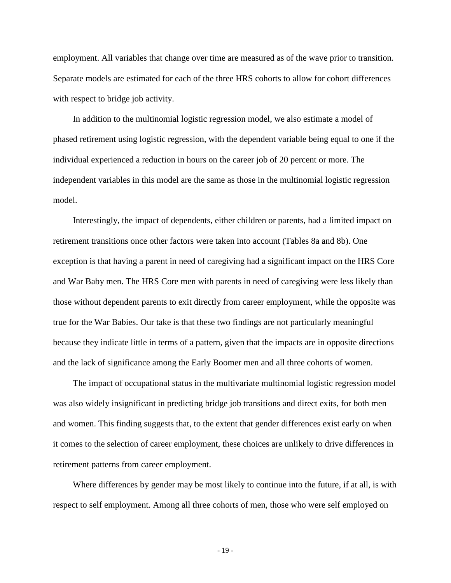employment. All variables that change over time are measured as of the wave prior to transition. Separate models are estimated for each of the three HRS cohorts to allow for cohort differences with respect to bridge job activity.

In addition to the multinomial logistic regression model, we also estimate a model of phased retirement using logistic regression, with the dependent variable being equal to one if the individual experienced a reduction in hours on the career job of 20 percent or more. The independent variables in this model are the same as those in the multinomial logistic regression model.

Interestingly, the impact of dependents, either children or parents, had a limited impact on retirement transitions once other factors were taken into account (Tables 8a and 8b). One exception is that having a parent in need of caregiving had a significant impact on the HRS Core and War Baby men. The HRS Core men with parents in need of caregiving were less likely than those without dependent parents to exit directly from career employment, while the opposite was true for the War Babies. Our take is that these two findings are not particularly meaningful because they indicate little in terms of a pattern, given that the impacts are in opposite directions and the lack of significance among the Early Boomer men and all three cohorts of women.

The impact of occupational status in the multivariate multinomial logistic regression model was also widely insignificant in predicting bridge job transitions and direct exits, for both men and women. This finding suggests that, to the extent that gender differences exist early on when it comes to the selection of career employment, these choices are unlikely to drive differences in retirement patterns from career employment.

Where differences by gender may be most likely to continue into the future, if at all, is with respect to self employment. Among all three cohorts of men, those who were self employed on

- 19 -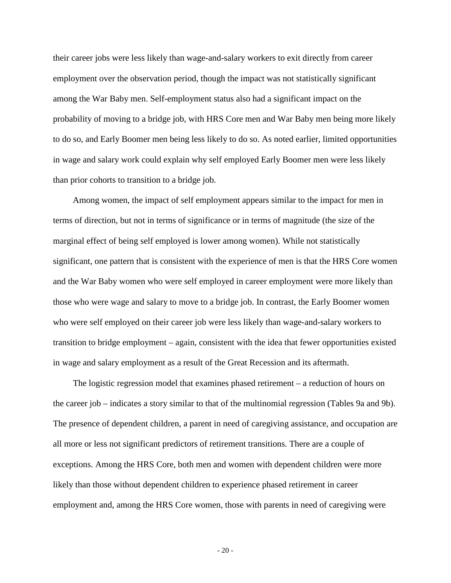their career jobs were less likely than wage-and-salary workers to exit directly from career employment over the observation period, though the impact was not statistically significant among the War Baby men. Self-employment status also had a significant impact on the probability of moving to a bridge job, with HRS Core men and War Baby men being more likely to do so, and Early Boomer men being less likely to do so. As noted earlier, limited opportunities in wage and salary work could explain why self employed Early Boomer men were less likely than prior cohorts to transition to a bridge job.

Among women, the impact of self employment appears similar to the impact for men in terms of direction, but not in terms of significance or in terms of magnitude (the size of the marginal effect of being self employed is lower among women). While not statistically significant, one pattern that is consistent with the experience of men is that the HRS Core women and the War Baby women who were self employed in career employment were more likely than those who were wage and salary to move to a bridge job. In contrast, the Early Boomer women who were self employed on their career job were less likely than wage-and-salary workers to transition to bridge employment – again, consistent with the idea that fewer opportunities existed in wage and salary employment as a result of the Great Recession and its aftermath.

The logistic regression model that examines phased retirement – a reduction of hours on the career job – indicates a story similar to that of the multinomial regression (Tables 9a and 9b). The presence of dependent children, a parent in need of caregiving assistance, and occupation are all more or less not significant predictors of retirement transitions. There are a couple of exceptions. Among the HRS Core, both men and women with dependent children were more likely than those without dependent children to experience phased retirement in career employment and, among the HRS Core women, those with parents in need of caregiving were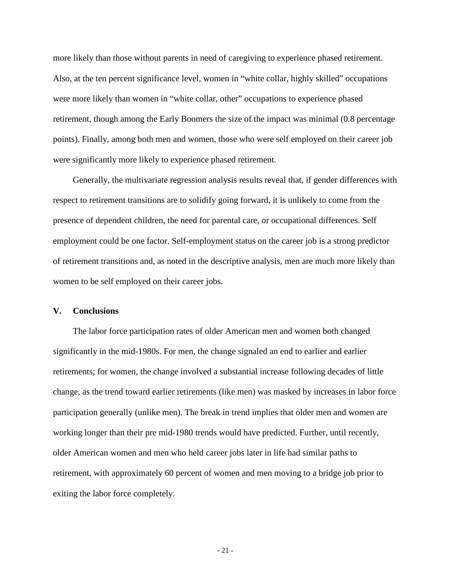more likely than those without parents in need of caregiving to experience phased retirement. Also, at the ten percent significance level, women in "white collar, highly skilled" occupations were more likely than women in "white collar, other" occupations to experience phased retirement, though among the Early Boomers the size of the impact was minimal (0.8 percentage points). Finally, among both men and women, those who were self employed on their career job were significantly more likely to experience phased retirement.

Generally, the multivariate regression analysis results reveal that, if gender differences with respect to retirement transitions are to solidify going forward, it is unlikely to come from the presence of dependent children, the need for parental care, or occupational differences. Self employment could be one factor. Self-employment status on the career job is a strong predictor of retirement transitions and, as noted in the descriptive analysis, men are much more likely than women to be self employed on their career jobs.

### **V. Conclusions**

The labor force participation rates of older American men and women both changed significantly in the mid-1980s. For men, the change signaled an end to earlier and earlier retirements; for women, the change involved a substantial increase following decades of little change, as the trend toward earlier retirements (like men) was masked by increases in labor force participation generally (unlike men). The break in trend implies that older men and women are working longer than their pre mid-1980 trends would have predicted. Further, until recently, older American women and men who held career jobs later in life had similar paths to retirement, with approximately 60 percent of women and men moving to a bridge job prior to exiting the labor force completely.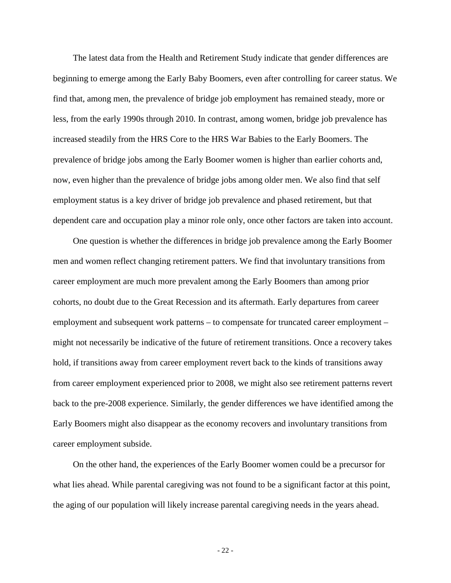The latest data from the Health and Retirement Study indicate that gender differences are beginning to emerge among the Early Baby Boomers, even after controlling for career status. We find that, among men, the prevalence of bridge job employment has remained steady, more or less, from the early 1990s through 2010. In contrast, among women, bridge job prevalence has increased steadily from the HRS Core to the HRS War Babies to the Early Boomers. The prevalence of bridge jobs among the Early Boomer women is higher than earlier cohorts and, now, even higher than the prevalence of bridge jobs among older men. We also find that self employment status is a key driver of bridge job prevalence and phased retirement, but that dependent care and occupation play a minor role only, once other factors are taken into account.

One question is whether the differences in bridge job prevalence among the Early Boomer men and women reflect changing retirement patters. We find that involuntary transitions from career employment are much more prevalent among the Early Boomers than among prior cohorts, no doubt due to the Great Recession and its aftermath. Early departures from career employment and subsequent work patterns – to compensate for truncated career employment – might not necessarily be indicative of the future of retirement transitions. Once a recovery takes hold, if transitions away from career employment revert back to the kinds of transitions away from career employment experienced prior to 2008, we might also see retirement patterns revert back to the pre-2008 experience. Similarly, the gender differences we have identified among the Early Boomers might also disappear as the economy recovers and involuntary transitions from career employment subside.

On the other hand, the experiences of the Early Boomer women could be a precursor for what lies ahead. While parental caregiving was not found to be a significant factor at this point, the aging of our population will likely increase parental caregiving needs in the years ahead.

- 22 -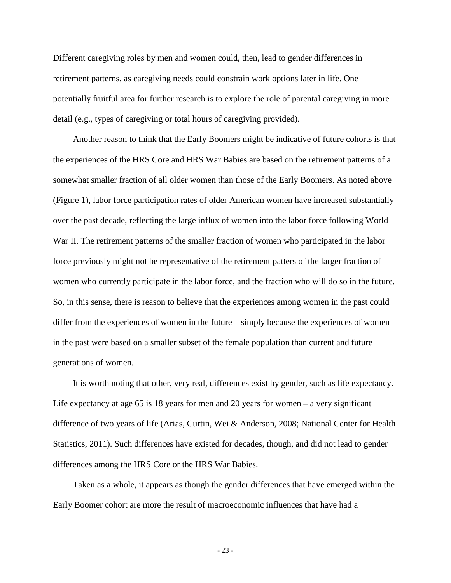Different caregiving roles by men and women could, then, lead to gender differences in retirement patterns, as caregiving needs could constrain work options later in life. One potentially fruitful area for further research is to explore the role of parental caregiving in more detail (e.g., types of caregiving or total hours of caregiving provided).

Another reason to think that the Early Boomers might be indicative of future cohorts is that the experiences of the HRS Core and HRS War Babies are based on the retirement patterns of a somewhat smaller fraction of all older women than those of the Early Boomers. As noted above (Figure 1), labor force participation rates of older American women have increased substantially over the past decade, reflecting the large influx of women into the labor force following World War II. The retirement patterns of the smaller fraction of women who participated in the labor force previously might not be representative of the retirement patters of the larger fraction of women who currently participate in the labor force, and the fraction who will do so in the future. So, in this sense, there is reason to believe that the experiences among women in the past could differ from the experiences of women in the future – simply because the experiences of women in the past were based on a smaller subset of the female population than current and future generations of women.

It is worth noting that other, very real, differences exist by gender, such as life expectancy. Life expectancy at age 65 is 18 years for men and 20 years for women – a very significant difference of two years of life (Arias, Curtin, Wei & Anderson, 2008; National Center for Health Statistics, 2011). Such differences have existed for decades, though, and did not lead to gender differences among the HRS Core or the HRS War Babies.

Taken as a whole, it appears as though the gender differences that have emerged within the Early Boomer cohort are more the result of macroeconomic influences that have had a

- 23 -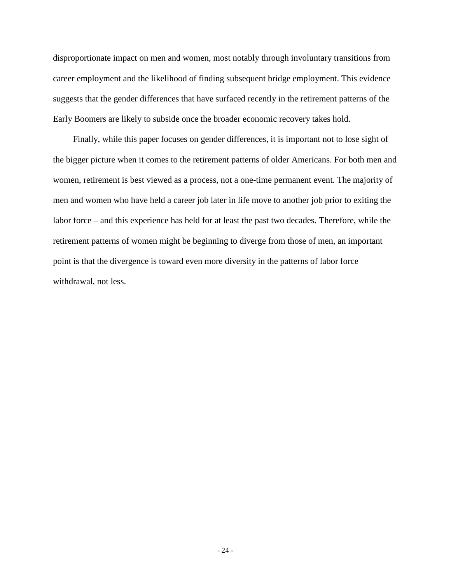disproportionate impact on men and women, most notably through involuntary transitions from career employment and the likelihood of finding subsequent bridge employment. This evidence suggests that the gender differences that have surfaced recently in the retirement patterns of the Early Boomers are likely to subside once the broader economic recovery takes hold.

Finally, while this paper focuses on gender differences, it is important not to lose sight of the bigger picture when it comes to the retirement patterns of older Americans. For both men and women, retirement is best viewed as a process, not a one-time permanent event. The majority of men and women who have held a career job later in life move to another job prior to exiting the labor force – and this experience has held for at least the past two decades. Therefore, while the retirement patterns of women might be beginning to diverge from those of men, an important point is that the divergence is toward even more diversity in the patterns of labor force withdrawal, not less.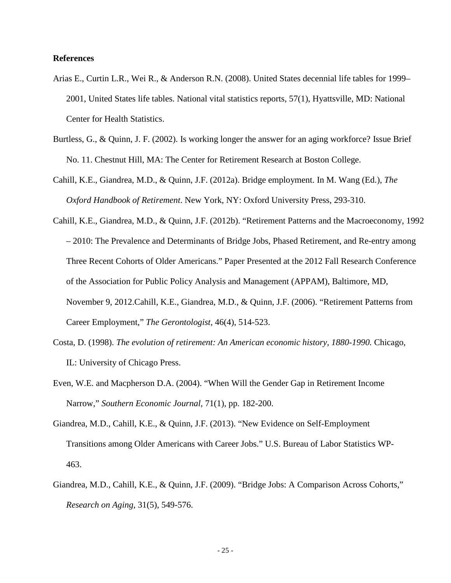### **References**

- Arias E., Curtin L.R., Wei R., & Anderson R.N. (2008). United States decennial life tables for 1999– 2001, United States life tables. National vital statistics reports, 57(1), Hyattsville, MD: National Center for Health Statistics.
- Burtless, G., & Quinn, J. F. (2002). Is working longer the answer for an aging workforce? Issue Brief No. 11. Chestnut Hill, MA: The Center for Retirement Research at Boston College.
- Cahill, K.E., Giandrea, M.D., & Quinn, J.F. (2012a). Bridge employment. In M. Wang (Ed.), *The Oxford Handbook of Retirement*. New York, NY: Oxford University Press, 293-310.
- Cahill, K.E., Giandrea, M.D., & Quinn, J.F. (2012b). "Retirement Patterns and the Macroeconomy, 1992 – 2010: The Prevalence and Determinants of Bridge Jobs, Phased Retirement, and Re-entry among Three Recent Cohorts of Older Americans." Paper Presented at the 2012 Fall Research Conference of the Association for Public Policy Analysis and Management (APPAM), Baltimore, MD, November 9, 2012.Cahill, K.E., Giandrea, M.D., & Quinn, J.F. (2006). "Retirement Patterns from Career Employment," *The Gerontologist,* 46(4), 514-523.
- Costa, D. (1998). *The evolution of retirement: An American economic history, 1880-1990.* Chicago, IL: University of Chicago Press.
- Even, W.E. and Macpherson D.A. (2004). "When Will the Gender Gap in Retirement Income Narrow," *Southern Economic Journal*, 71(1), pp. 182-200.
- Giandrea, M.D., Cahill, K.E., & Quinn, J.F. (2013). "New Evidence on Self-Employment Transitions among Older Americans with Career Jobs." U.S. Bureau of Labor Statistics WP-463.
- Giandrea, M.D., Cahill, K.E., & Quinn, J.F. (2009). "Bridge Jobs: A Comparison Across Cohorts," *Research on Aging*, 31(5), 549-576.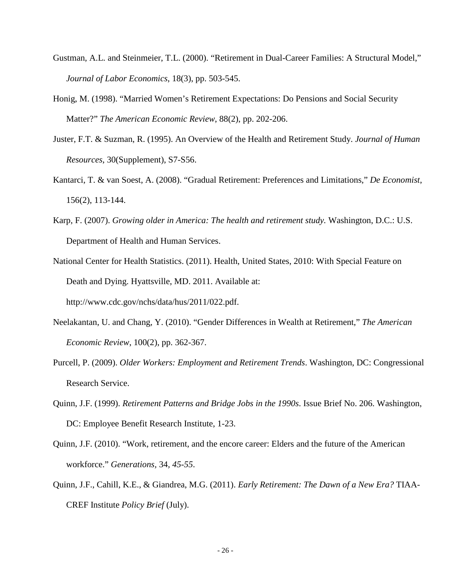- Gustman, A.L. and Steinmeier, T.L. (2000). "Retirement in Dual-Career Families: A Structural Model," *Journal of Labor Economics*, 18(3), pp. 503-545.
- Honig, M. (1998). "Married Women's Retirement Expectations: Do Pensions and Social Security Matter?" *The American Economic Review*, 88(2), pp. 202-206.
- Juster, F.T. & Suzman, R. (1995). An Overview of the Health and Retirement Study. *Journal of Human Resources*, 30(Supplement), S7-S56.
- Kantarci, T. & van Soest, A. (2008). "Gradual Retirement: Preferences and Limitations," *De Economist*, 156(2), 113-144.
- Karp, F. (2007). *Growing older in America: The health and retirement study.* Washington, D.C.: U.S. Department of Health and Human Services.
- National Center for Health Statistics. (2011). Health, United States, 2010: With Special Feature on Death and Dying. Hyattsville, MD. 2011. Available at: [http://www.cdc.gov/nchs/data/hus/2011/022.pdf.](http://www.cdc.gov/nchs/data/hus/2011/022.pdf)
- Neelakantan, U. and Chang, Y. (2010). "Gender Differences in Wealth at Retirement," *The American Economic Review*, 100(2), pp. 362-367.
- Purcell, P. (2009). *Older Workers: Employment and Retirement Trends*. Washington, DC: Congressional Research Service.
- Quinn, J.F. (1999). *Retirement Patterns and Bridge Jobs in the 1990s*. Issue Brief No. 206. Washington, DC: Employee Benefit Research Institute, 1-23.
- Quinn, J.F. (2010). "Work, retirement, and the encore career: Elders and the future of the American workforce." *Generations,* 34*, 45*-*55*.
- Quinn, J.F., Cahill, K.E., & Giandrea, M.G. (2011). *Early Retirement: The Dawn of a New Era?* TIAA-CREF Institute *Policy Brief* (July).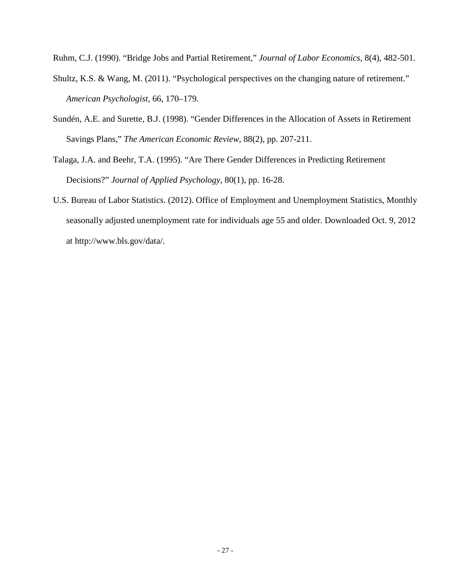Ruhm, C.J. (1990). "Bridge Jobs and Partial Retirement," *Journal of Labor Economics*, 8(4), 482-501.

- Shultz, K.S. & Wang, M. (2011). "Psychological perspectives on the changing nature of retirement." *American Psychologist*, 66, 170–179.
- Sundén, A.E. and Surette, B.J. (1998). "Gender Differences in the Allocation of Assets in Retirement Savings Plans," *The American Economic Review*, 88(2), pp. 207-211.
- Talaga, J.A. and Beehr, T.A. (1995). "Are There Gender Differences in Predicting Retirement Decisions?" *Journal of Applied Psychology*, 80(1), pp. 16-28.
- U.S. Bureau of Labor Statistics. (2012). Office of Employment and Unemployment Statistics, Monthly seasonally adjusted unemployment rate for individuals age 55 and older. Downloaded Oct. 9, 2012 at [http://www.bls.gov/data/.](http://www.bls.gov/data/)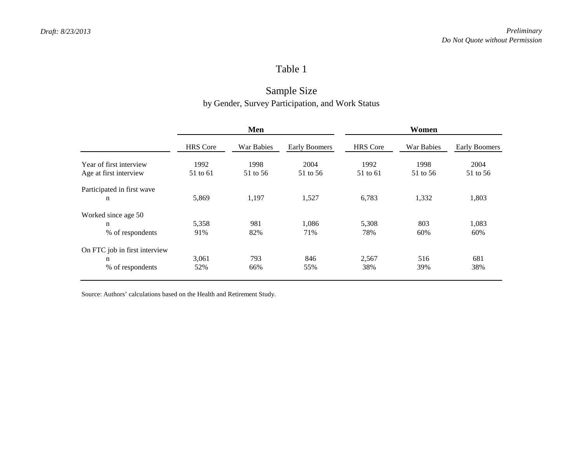# Sample Size by Gender, Survey Participation, and Work Status

|                                                   |                  | Men              |                      |                  | Women            |                      |  |
|---------------------------------------------------|------------------|------------------|----------------------|------------------|------------------|----------------------|--|
|                                                   | <b>HRS</b> Core  | War Babies       | <b>Early Boomers</b> | <b>HRS</b> Core  | War Babies       | <b>Early Boomers</b> |  |
| Year of first interview<br>Age at first interview | 1992<br>51 to 61 | 1998<br>51 to 56 | 2004<br>51 to 56     | 1992<br>51 to 61 | 1998<br>51 to 56 | 2004<br>51 to 56     |  |
| Participated in first wave<br>n                   | 5,869            | 1,197            | 1,527                | 6,783            | 1,332            | 1,803                |  |
| Worked since age 50                               |                  |                  |                      |                  |                  |                      |  |
| n                                                 | 5,358            | 981              | 1,086                | 5,308            | 803              | 1,083                |  |
| % of respondents                                  | 91%              | 82%              | 71%                  | 78%              | 60%              | 60%                  |  |
| On FTC job in first interview                     |                  |                  |                      |                  |                  |                      |  |
| n                                                 | 3,061            | 793              | 846                  | 2,567            | 516              | 681                  |  |
| % of respondents                                  | 52%              | 66%              | 55%                  | 38%              | 39%              | 38%                  |  |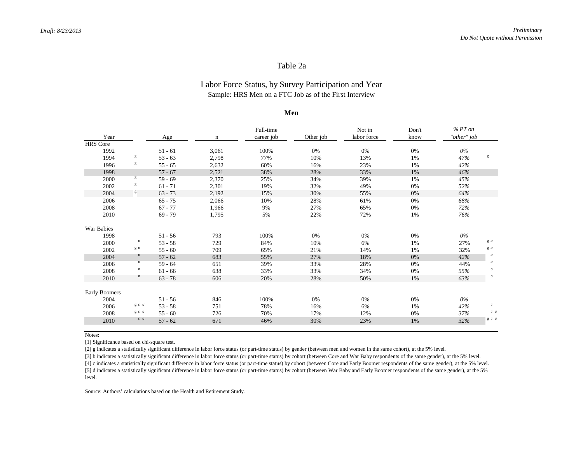## Table 2a

## Labor Force Status, by Survey Participation and Year Sample: HRS Men on a FTC Job as of the First Interview

#### **Men**

|                 | Year                 |                  | Age       | n     | Full-time<br>career job | Other job | Not in<br>labor force | Don't<br>know | %PT on<br>"other" job |                  |
|-----------------|----------------------|------------------|-----------|-------|-------------------------|-----------|-----------------------|---------------|-----------------------|------------------|
| <b>HRS</b> Core |                      |                  |           |       |                         |           |                       |               |                       |                  |
|                 | 1992                 |                  | $51 - 61$ | 3,061 | 100%                    | 0%        | 0%                    | 0%            | 0%                    |                  |
|                 | 1994                 | g                | $53 - 63$ | 2,798 | 77%                     | 10%       | 13%                   | 1%            | 47%                   | g                |
|                 | 1996                 | $\mathbf g$      | $55 - 65$ | 2,632 | 60%                     | 16%       | 23%                   | 1%            | 42%                   |                  |
|                 | 1998                 |                  | $57 - 67$ | 2,521 | 38%                     | 28%       | 33%                   | 1%            | 46%                   |                  |
|                 | 2000                 | g                | $59 - 69$ | 2,370 | 25%                     | 34%       | 39%                   | 1%            | 45%                   |                  |
|                 | 2002                 | g                | $61 - 71$ | 2,301 | 19%                     | 32%       | 49%                   | 0%            | 52%                   |                  |
|                 | 2004                 | g                | $63 - 73$ | 2,192 | 15%                     | 30%       | 55%                   | 0%            | 64%                   |                  |
|                 | 2006                 |                  | $65 - 75$ | 2,066 | 10%                     | 28%       | 61%                   | 0%            | 68%                   |                  |
|                 | 2008                 |                  | $67 - 77$ | 1,966 | 9%                      | 27%       | 65%                   | 0%            | 72%                   |                  |
|                 | 2010                 |                  | $69 - 79$ | 1,795 | 5%                      | 22%       | 72%                   | 1%            | 76%                   |                  |
| War Babies      |                      |                  |           |       |                         |           |                       |               |                       |                  |
|                 | 1998                 |                  | $51 - 56$ | 793   | 100%                    | 0%        | 0%                    | 0%            | $0\%$                 |                  |
|                 | 2000                 | $\boldsymbol{D}$ | $53 - 58$ | 729   | 84%                     | 10%       | 6%                    | 1%            | 27%                   | $g \, p$         |
|                 | 2002                 | $g$ $b$          | $55 - 60$ | 709   | 65%                     | 21%       | 14%                   | 1%            | 32%                   | g b              |
|                 | 2004                 | b                | $57 - 62$ | 683   | 55%                     | 27%       | 18%                   | 0%            | 42%                   | b                |
|                 | 2006                 | b                | $59 - 64$ | 651   | 39%                     | 33%       | 28%                   | 0%            | 44%                   | $\boldsymbol{b}$ |
|                 | 2008                 | b                | $61 - 66$ | 638   | 33%                     | 33%       | 34%                   | 0%            | 55%                   | b                |
|                 | 2010                 | $\boldsymbol{D}$ | $63 - 78$ | 606   | 20%                     | 28%       | 50%                   | 1%            | 63%                   | $\boldsymbol{D}$ |
|                 | <b>Early Boomers</b> |                  |           |       |                         |           |                       |               |                       |                  |
|                 | 2004                 |                  | $51 - 56$ | 846   | 100%                    | 0%        | 0%                    | 0%            | 0%                    |                  |
|                 | 2006                 | $g$ $c$ $d$      | $53 - 58$ | 751   | 78%                     | 16%       | 6%                    | 1%            | 42%                   | $\boldsymbol{c}$ |
|                 | 2008                 | $g$ $c$ $d$      | $55 - 60$ | 726   | 70%                     | 17%       | 12%                   | 0%            | 37%                   | $c$ $d$          |
|                 | 2010                 | c d              | $57 - 62$ | 671   | 46%                     | 30%       | 23%                   | 1%            | 32%                   | $g$ $c$ $d$      |

Notes:

[1] Significance based on chi-square test.

[2] g indicates a statistically significant difference in labor force status (or part-time status) by gender (between men and women in the same cohort), at the 5% level.

[3] b indicates a statistically significant difference in labor force status (or part-time status) by cohort (between Core and War Baby respondents of the same gender), at the 5% level.

[4] c indicates a statistically significant difference in labor force status (or part-time status) by cohort (between Core and Early Boomer respondents of the same gender), at the 5% level. [5] d indicates a statistically significant difference in labor force status (or part-time status) by cohort (between War Baby and Early Boomer respondents of the same gender), at the 5% level.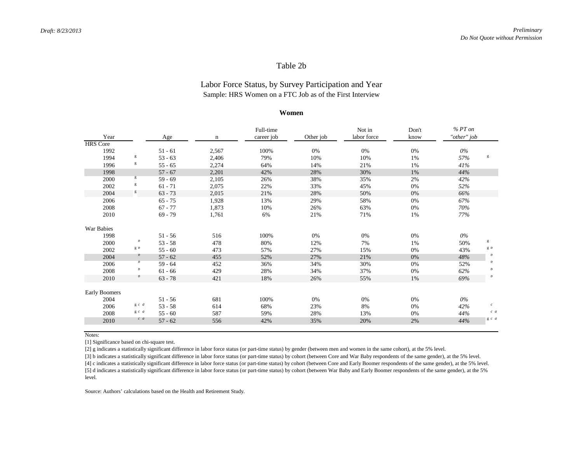### Table 2b

## Labor Force Status, by Survey Participation and Year Sample: HRS Women on a FTC Job as of the First Interview

#### **Women**

|                 | Year                 |                  | Age       | n     | Full-time<br>career job | Other job | Not in<br>labor force | Don't<br>know | %PT on<br>"other" job |                  |
|-----------------|----------------------|------------------|-----------|-------|-------------------------|-----------|-----------------------|---------------|-----------------------|------------------|
| <b>HRS</b> Core |                      |                  |           |       |                         |           |                       |               |                       |                  |
|                 | 1992                 |                  | $51 - 61$ | 2,567 | 100%                    | 0%        | 0%                    | 0%            | 0%                    |                  |
|                 | 1994                 | g                | $53 - 63$ | 2,406 | 79%                     | 10%       | 10%                   | 1%            | 57%                   | g                |
|                 | 1996                 | $\mathbf{g}$     | $55 - 65$ | 2,274 | 64%                     | 14%       | 21%                   | 1%            | 41%                   |                  |
|                 | 1998                 |                  | $57 - 67$ | 2,201 | 42%                     | 28%       | 30%                   | 1%            | 44%                   |                  |
|                 | 2000                 | g                | $59 - 69$ | 2,105 | 26%                     | 38%       | 35%                   | 2%            | 42%                   |                  |
|                 | 2002                 | g                | $61 - 71$ | 2,075 | 22%                     | 33%       | 45%                   | 0%            | 52%                   |                  |
|                 | 2004                 | g                | $63 - 73$ | 2,015 | 21%                     | 28%       | 50%                   | 0%            | 66%                   |                  |
|                 | 2006                 |                  | $65 - 75$ | 1,928 | 13%                     | 29%       | 58%                   | 0%            | 67%                   |                  |
|                 | 2008                 |                  | $67 - 77$ | 1,873 | 10%                     | 26%       | 63%                   | 0%            | 70%                   |                  |
|                 | 2010                 |                  | $69 - 79$ | 1,761 | 6%                      | 21%       | 71%                   | 1%            | 77%                   |                  |
| War Babies      |                      |                  |           |       |                         |           |                       |               |                       |                  |
|                 | 1998                 |                  | $51 - 56$ | 516   | 100%                    | 0%        | 0%                    | 0%            | $0\%$                 |                  |
|                 | 2000                 | $\boldsymbol{D}$ | $53 - 58$ | 478   | 80%                     | 12%       | 7%                    | 1%            | 50%                   | g                |
|                 | 2002                 | $g$ $b$          | $55 - 60$ | 473   | 57%                     | 27%       | 15%                   | 0%            | 43%                   | g b              |
|                 | 2004                 | b                | $57 - 62$ | 455   | 52%                     | 27%       | 21%                   | 0%            | 48%                   | b                |
|                 | 2006                 | b                | $59 - 64$ | 452   | 36%                     | 34%       | 30%                   | 0%            | 52%                   | $\boldsymbol{b}$ |
|                 | 2008                 | b                | $61 - 66$ | 429   | 28%                     | 34%       | 37%                   | 0%            | 62%                   | b                |
|                 | 2010                 | $\boldsymbol{D}$ | $63 - 78$ | 421   | 18%                     | 26%       | 55%                   | 1%            | 69%                   | $\boldsymbol{D}$ |
|                 | <b>Early Boomers</b> |                  |           |       |                         |           |                       |               |                       |                  |
|                 | 2004                 |                  | $51 - 56$ | 681   | 100%                    | 0%        | 0%                    | 0%            | 0%                    |                  |
|                 | 2006                 | $g$ $c$ $d$      | $53 - 58$ | 614   | 68%                     | 23%       | 8%                    | 0%            | 42%                   | $\boldsymbol{c}$ |
|                 | 2008                 | $g$ $c$ $d$      | $55 - 60$ | 587   | 59%                     | 28%       | 13%                   | 0%            | 44%                   | c a              |
|                 | 2010                 | c d              | $57 - 62$ | 556   | 42%                     | 35%       | 20%                   | 2%            | 44%                   | $g$ $c$ $d$      |

Notes:

[1] Significance based on chi-square test.

[2] g indicates a statistically significant difference in labor force status (or part-time status) by gender (between men and women in the same cohort), at the 5% level.

[3] b indicates a statistically significant difference in labor force status (or part-time status) by cohort (between Core and War Baby respondents of the same gender), at the 5% level.

[4] c indicates a statistically significant difference in labor force status (or part-time status) by cohort (between Core and Early Boomer respondents of the same gender), at the 5% level. [5] d indicates a statistically significant difference in labor force status (or part-time status) by cohort (between War Baby and Early Boomer respondents of the same gender), at the 5% level.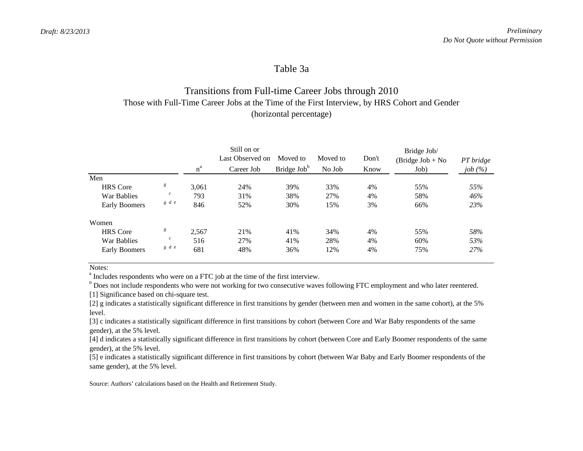# Table 3a

# Transitions from Full-time Career Jobs through 2010 (horizontal percentage) Those with Full-Time Career Jobs at the Time of the First Interview, by HRS Cohort and Gender

|                      |                  |       | Still on or<br>Last Observed on | Moved to                | Moved to | Don't | Bridge Job/<br>$(Bridge Job + No)$ | PT bridge  |
|----------------------|------------------|-------|---------------------------------|-------------------------|----------|-------|------------------------------------|------------|
|                      |                  | $n^a$ | Career Job                      | Bridge Job <sup>b</sup> | No Job   | Know  | Job)                               | job $(\%)$ |
| Men                  |                  |       |                                 |                         |          |       |                                    |            |
| <b>HRS</b> Core      | g                | 3.061 | 24%                             | 39%                     | 33%      | 4%    | 55%                                | 55%        |
| War Bablies          | $\mathcal{C}$    | 793   | 31%                             | 38%                     | 27%      | 4%    | 58%                                | 46%        |
| Early Boomers        | $g \ d \ e$      | 846   | 52%                             | 30%                     | 15%      | 3%    | 66%                                | 23%        |
| Women                |                  |       |                                 |                         |          |       |                                    |            |
| <b>HRS</b> Core      | $\boldsymbol{g}$ | 2,567 | 21%                             | 41%                     | 34%      | 4%    | 55%                                | 58%        |
| War Bablies          | $\mathcal C$     | 516   | 27%                             | 41%                     | 28%      | 4%    | 60%                                | 53%        |
| <b>Early Boomers</b> | $g \ d \ e$      | 681   | 48%                             | 36%                     | 12%      | 4%    | 75%                                | 27%        |

Notes:

<sup>a</sup> Includes respondents who were on a FTC job at the time of the first interview.

<sup>b</sup> Does not include respondents who were not working for two consecutive waves following FTC employment and who later reentered.

[1] Significance based on chi-square test.

[2] g indicates a statistically significant difference in first transitions by gender (between men and women in the same cohort), at the 5% level.

[3] c indicates a statistically significant difference in first transitions by cohort (between Core and War Baby respondents of the same gender), at the 5% level.

[4] d indicates a statistically significant difference in first transitions by cohort (between Core and Early Boomer respondents of the same gender), at the 5% level.

[5] e indicates a statistically significant difference in first transitions by cohort (between War Baby and Early Boomer respondents of the same gender), at the 5% level.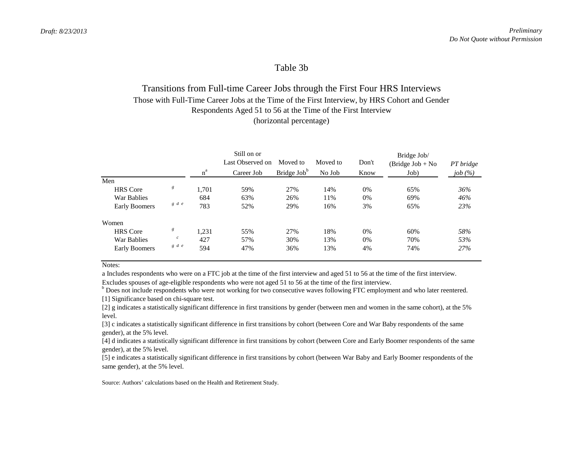## Table 3b

# Transitions from Full-time Career Jobs through the First Four HRS Interviews Those with Full-Time Career Jobs at the Time of the First Interview, by HRS Cohort and Gender (horizontal percentage) Respondents Aged 51 to 56 at the Time of the First Interview

|                 |                  |       | Still on or<br>Last Observed on | Moved to                | Moved to | Don't | Bridge Job/<br>$(Bridge Job + No$ | PT bridge  |
|-----------------|------------------|-------|---------------------------------|-------------------------|----------|-------|-----------------------------------|------------|
|                 |                  | $n^a$ | Career Job                      | Bridge Job <sup>b</sup> | No Job   | Know  | Job)                              | job $(\%)$ |
| Men             |                  |       |                                 |                         |          |       |                                   |            |
| <b>HRS</b> Core | $\boldsymbol{g}$ | 1.701 | 59%                             | 27%                     | 14%      | 0%    | 65%                               | 36%        |
| War Bablies     |                  | 684   | 63%                             | 26%                     | 11%      | 0%    | 69%                               | 46%        |
| Early Boomers   | $g \ d \ e$      | 783   | 52%                             | 29%                     | 16%      | 3%    | 65%                               | 23%        |
| Women           |                  |       |                                 |                         |          |       |                                   |            |
| <b>HRS</b> Core | g                | 1.231 | 55%                             | 27%                     | 18%      | 0%    | 60%                               | 58%        |
| War Bablies     | $\boldsymbol{c}$ | 427   | 57%                             | 30%                     | 13%      | 0%    | 70%                               | 53%        |
| Early Boomers   | $g \ d \ e$      | 594   | 47%                             | 36%                     | 13%      | 4%    | 74%                               | 27%        |

#### Notes:

a Includes respondents who were on a FTC job at the time of the first interview and aged 51 to 56 at the time of the first interview.

Excludes spouses of age-eligible respondents who were not aged 51 to 56 at the time of the first interview.

<sup>b</sup> Does not include respondents who were not working for two consecutive waves following FTC employment and who later reentered. [1] Significance based on chi-square test.

[2] g indicates a statistically significant difference in first transitions by gender (between men and women in the same cohort), at the 5% level.

[3] c indicates a statistically significant difference in first transitions by cohort (between Core and War Baby respondents of the same gender), at the 5% level.

[4] d indicates a statistically significant difference in first transitions by cohort (between Core and Early Boomer respondents of the same gender), at the 5% level.

[5] e indicates a statistically significant difference in first transitions by cohort (between War Baby and Early Boomer respondents of the same gender), at the 5% level.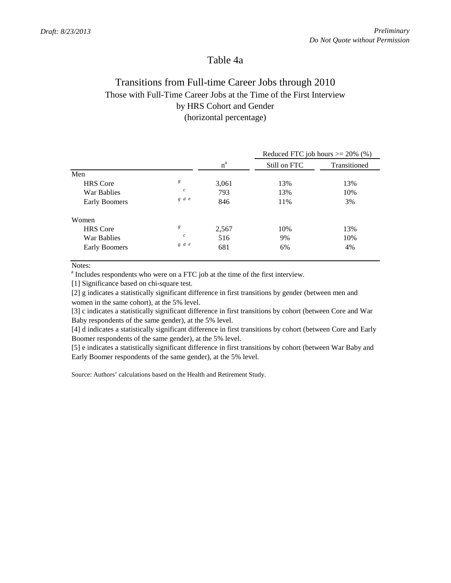# Table 4a

# Transitions from Full-time Career Jobs through 2010 Those with Full-Time Career Jobs at the Time of the First Interview (horizontal percentage) by HRS Cohort and Gender

|                      |                  |       |              | Reduced FTC job hours $\ge$ 20% (%) |
|----------------------|------------------|-------|--------------|-------------------------------------|
|                      |                  | $n^a$ | Still on FTC | Transitioned                        |
| Men                  |                  |       |              |                                     |
| <b>HRS</b> Core      | $\boldsymbol{g}$ | 3,061 | 13%          | 13%                                 |
| War Bablies          | $\boldsymbol{c}$ | 793   | 13%          | 10%                                 |
| <b>Early Boomers</b> | $g \, d \, e$    | 846   | 11%          | 3%                                  |
| Women                |                  |       |              |                                     |
| <b>HRS</b> Core      | g                | 2,567 | 10%          | 13%                                 |
| War Bablies          | $\boldsymbol{c}$ | 516   | 9%           | 10%                                 |
| <b>Early Boomers</b> | $g \, d \, e$    | 681   | 6%           | 4%                                  |

Notes:

<sup>a</sup> Includes respondents who were on a FTC job at the time of the first interview.

[1] Significance based on chi-square test.

[2] g indicates a statistically significant difference in first transitions by gender (between men and women in the same cohort), at the 5% level.

[3] c indicates a statistically significant difference in first transitions by cohort (between Core and War Baby respondents of the same gender), at the 5% level.

[4] d indicates a statistically significant difference in first transitions by cohort (between Core and Early Boomer respondents of the same gender), at the 5% level.

[5] e indicates a statistically significant difference in first transitions by cohort (between War Baby and Early Boomer respondents of the same gender), at the 5% level.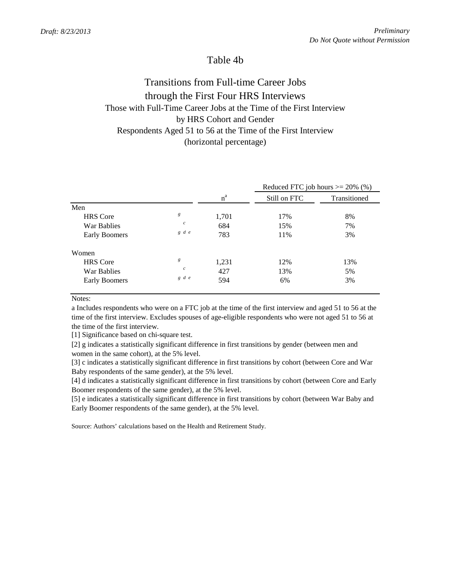# Table 4b

# Transitions from Full-time Career Jobs Those with Full-Time Career Jobs at the Time of the First Interview (horizontal percentage) Respondents Aged 51 to 56 at the Time of the First Interview through the First Four HRS Interviews by HRS Cohort and Gender

|                      |               |       | Reduced FTC job hours $\ge$ 20% (%) |              |  |  |
|----------------------|---------------|-------|-------------------------------------|--------------|--|--|
|                      |               | $n^a$ | Still on FTC                        | Transitioned |  |  |
| Men                  |               |       |                                     |              |  |  |
| <b>HRS</b> Core      | g             | 1,701 | 17%                                 | 8%           |  |  |
| War Bablies          | $\mathcal{C}$ | 684   | 15%                                 | 7%           |  |  |
| Early Boomers        | $g \, d \, e$ | 783   | 11%                                 | 3%           |  |  |
| Women                |               |       |                                     |              |  |  |
| <b>HRS</b> Core      | g             | 1,231 | 12%                                 | 13%          |  |  |
| War Bablies          | $\mathcal{C}$ | 427   | 13%                                 | 5%           |  |  |
| <b>Early Boomers</b> | $g \, d \, e$ | 594   | 6%                                  | 3%           |  |  |

Notes:

a Includes respondents who were on a FTC job at the time of the first interview and aged 51 to 56 at the time of the first interview. Excludes spouses of age-eligible respondents who were not aged 51 to 56 at the time of the first interview.

[1] Significance based on chi-square test.

[2] g indicates a statistically significant difference in first transitions by gender (between men and women in the same cohort), at the 5% level.

[3] c indicates a statistically significant difference in first transitions by cohort (between Core and War Baby respondents of the same gender), at the 5% level.

[4] d indicates a statistically significant difference in first transitions by cohort (between Core and Early Boomer respondents of the same gender), at the 5% level.

[5] e indicates a statistically significant difference in first transitions by cohort (between War Baby and Early Boomer respondents of the same gender), at the 5% level.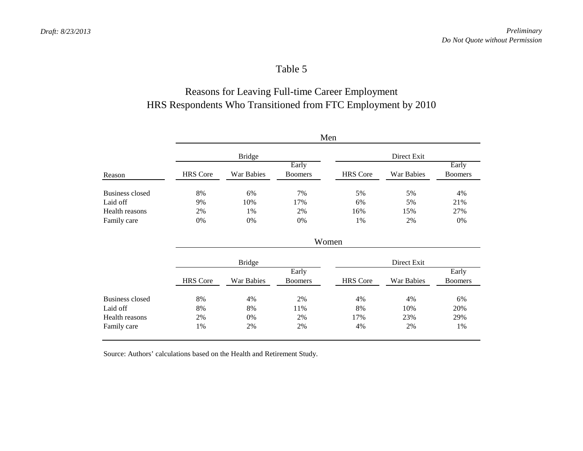# HRS Respondents Who Transitioned from FTC Employment by 2010 Reasons for Leaving Full-time Career Employment

|                        |                 | Men           |                |                 |            |                |  |  |  |  |  |  |  |
|------------------------|-----------------|---------------|----------------|-----------------|------------|----------------|--|--|--|--|--|--|--|
|                        |                 | <b>Bridge</b> |                | Direct Exit     |            |                |  |  |  |  |  |  |  |
|                        |                 |               | Early          |                 |            | Early          |  |  |  |  |  |  |  |
| Reason                 | <b>HRS</b> Core | War Babies    | <b>Boomers</b> | <b>HRS</b> Core | War Babies | <b>Boomers</b> |  |  |  |  |  |  |  |
| Business closed        | 8%              | 6%            | 7%             | 5%              | 5%         | 4%             |  |  |  |  |  |  |  |
| Laid off               | 9%              | 10%           | 17%            | 6%              | 5%         | 21%            |  |  |  |  |  |  |  |
| Health reasons         | 2%              | 1%            | 2%             | 16%             | 15%        | 27%            |  |  |  |  |  |  |  |
| Family care            | 0%              | 0%            | 0%             | 1%              | 2%         | 0%             |  |  |  |  |  |  |  |
|                        |                 | Women         |                |                 |            |                |  |  |  |  |  |  |  |
|                        |                 | <b>Bridge</b> |                | Direct Exit     |            |                |  |  |  |  |  |  |  |
|                        |                 |               | Early          |                 |            | Early          |  |  |  |  |  |  |  |
|                        | <b>HRS</b> Core | War Babies    | <b>Boomers</b> | <b>HRS</b> Core | War Babies | <b>Boomers</b> |  |  |  |  |  |  |  |
| <b>Business closed</b> | 8%              | 4%            | 2%             | 4%              | 4%         | 6%             |  |  |  |  |  |  |  |
| Laid off               | 8%              | 8%            | 11%            | 8%              | 10%        | 20%            |  |  |  |  |  |  |  |
| <b>Health reasons</b>  | 2%              | 0%            | 2%             | 17%             | 23%        | 29%            |  |  |  |  |  |  |  |
| Family care            | 1%              | 2%            | 2%             | 4%              | 2%         | 1%             |  |  |  |  |  |  |  |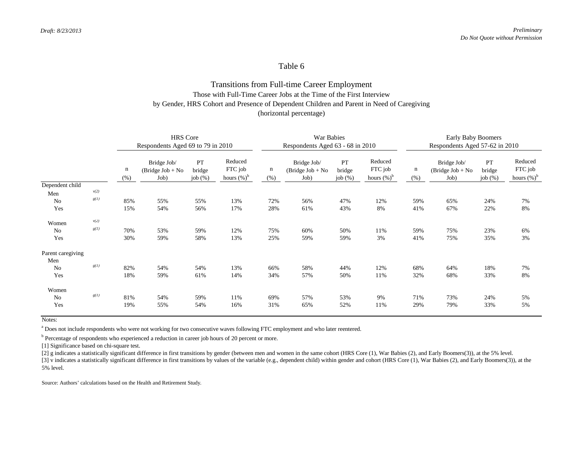## Transitions from Full-time Career Employment Those with Full-Time Career Jobs at the Time of the First Interview by Gender, HRS Cohort and Presence of Dependent Children and Parent in Need of Caregiving (horizontal percentage)

|                   |      |           | <b>HRS</b> Core<br>Respondents Aged 69 to 79 in 2010 |                            |                                      |           | War Babies<br>Respondents Aged 63 - 68 in 2010 |                            |                                      | Early Baby Boomers<br>Respondents Aged 57-62 in 2010 |                                           |                            |                                      |
|-------------------|------|-----------|------------------------------------------------------|----------------------------|--------------------------------------|-----------|------------------------------------------------|----------------------------|--------------------------------------|------------------------------------------------------|-------------------------------------------|----------------------------|--------------------------------------|
|                   |      | n<br>(% ) | Bridge Job/<br>$(Bridge Job + No$<br>Job)            | PT<br>bridge<br>job $(\%)$ | Reduced<br>FTC job<br>hours $(\%)^b$ | n<br>(% ) | Bridge Job/<br>(Bridge Job + No<br>Job)        | PT<br>bridge<br>job $(\%)$ | Reduced<br>FTC job<br>hours $(\%)^b$ | n<br>(% )                                            | Bridge Job/<br>$(Bridge Job + No$<br>Job) | PT<br>bridge<br>job $(\%)$ | Reduced<br>FTC job<br>hours $(\%)^b$ |
| Dependent child   | v(2) |           |                                                      |                            |                                      |           |                                                |                            |                                      |                                                      |                                           |                            |                                      |
| Men               | g(I) |           |                                                      |                            |                                      |           |                                                |                            |                                      |                                                      |                                           |                            |                                      |
| No                |      | 85%       | 55%                                                  | 55%                        | 13%                                  | 72%       | 56%                                            | 47%                        | 12%                                  | 59%                                                  | 65%                                       | 24%                        | 7%                                   |
| Yes               |      | 15%       | 54%                                                  | 56%                        | 17%                                  | 28%       | 61%                                            | 43%                        | 8%                                   | 41%                                                  | 67%                                       | 22%                        | 8%                                   |
| Women             | v(2) |           |                                                      |                            |                                      |           |                                                |                            |                                      |                                                      |                                           |                            |                                      |
| No                | g(I) | 70%       | 53%                                                  | 59%                        | 12%                                  | 75%       | 60%                                            | 50%                        | 11%                                  | 59%                                                  | 75%                                       | 23%                        | 6%                                   |
| Yes               |      | 30%       | 59%                                                  | 58%                        | 13%                                  | 25%       | 59%                                            | 59%                        | 3%                                   | 41%                                                  | 75%                                       | 35%                        | 3%                                   |
| Parent caregiving |      |           |                                                      |                            |                                      |           |                                                |                            |                                      |                                                      |                                           |                            |                                      |
| Men               |      |           |                                                      |                            |                                      |           |                                                |                            |                                      |                                                      |                                           |                            |                                      |
| No                | g(I) | 82%       | 54%                                                  | 54%                        | 13%                                  | 66%       | 58%                                            | 44%                        | 12%                                  | 68%                                                  | 64%                                       | 18%                        | 7%                                   |
| Yes               |      | 18%       | 59%                                                  | 61%                        | 14%                                  | 34%       | 57%                                            | 50%                        | 11%                                  | 32%                                                  | 68%                                       | 33%                        | 8%                                   |
| Women             |      |           |                                                      |                            |                                      |           |                                                |                            |                                      |                                                      |                                           |                            |                                      |
| No                | g(I) | 81%       | 54%                                                  | 59%                        | 11%                                  | 69%       | 57%                                            | 53%                        | 9%                                   | 71%                                                  | 73%                                       | 24%                        | 5%                                   |
| Yes               |      | 19%       | 55%                                                  | 54%                        | 16%                                  | 31%       | 65%                                            | 52%                        | 11%                                  | 29%                                                  | 79%                                       | 33%                        | 5%                                   |

Notes:

<sup>a</sup> Does not include respondents who were not working for two consecutive waves following FTC employment and who later reentered.

<sup>b</sup> Percentage of respondents who experienced a reduction in career job hours of 20 percent or more.

[1] Significance based on chi-square test.

[2] g indicates a statistically significant difference in first transitions by gender (between men and women in the same cohort (HRS Core (1), War Babies (2), and Early Boomers(3)), at the 5% level. [3] v indicates a statistically significant difference in first transitions by values of the variable (e.g., dependent child) within gender and cohort (HRS Core (1), War Babies (2), and Early Boomers(3)), at the 5% level.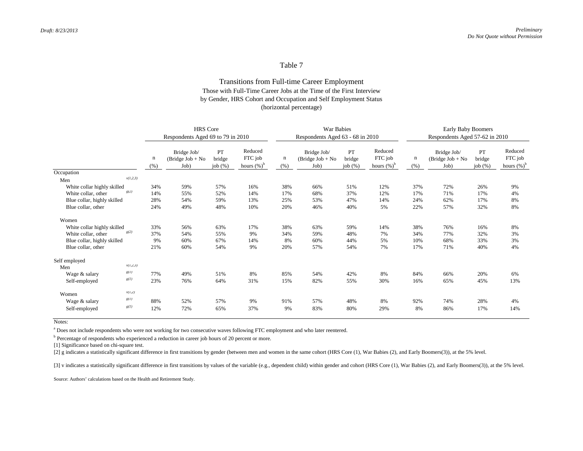### Transitions from Full-time Career Employment Those with Full-Time Career Jobs at the Time of the First Interview by Gender, HRS Cohort and Occupation and Self Employment Status (horizontal percentage)

|                             |           | <b>HRS</b> Core<br>Respondents Aged 69 to 79 in 2010 |                            |                                      |                     | War Babies<br>Respondents Aged 63 - 68 in 2010 |                            |                                      | Early Baby Boomers<br>Respondents Aged 57-62 in 2010 |                                           |                            |                                      |
|-----------------------------|-----------|------------------------------------------------------|----------------------------|--------------------------------------|---------------------|------------------------------------------------|----------------------------|--------------------------------------|------------------------------------------------------|-------------------------------------------|----------------------------|--------------------------------------|
|                             | n<br>(% ) | Bridge Job/<br>$(Bridge Job + No)$<br>Job)           | PT<br>bridge<br>job $(\%)$ | Reduced<br>FTC job<br>hours $(\%)^b$ | $\mathbf n$<br>(% ) | Bridge Job/<br>$(Bridge Job + No$<br>Job)      | PT<br>bridge<br>job $(\%)$ | Reduced<br>FTC job<br>hours $(\%)^b$ | n<br>(% )                                            | Bridge Job/<br>$(Bridge Job + No$<br>Job) | PT<br>bridge<br>job $(\%)$ | Reduced<br>FTC job<br>hours $(\%)^b$ |
| Occupation<br>v(1,2,3)      |           |                                                      |                            |                                      |                     |                                                |                            |                                      |                                                      |                                           |                            |                                      |
| Men                         |           |                                                      |                            |                                      |                     |                                                |                            |                                      |                                                      |                                           |                            |                                      |
| White collar highly skilled | 34%       | 59%                                                  | 57%                        | 16%                                  | 38%                 | 66%                                            | 51%                        | 12%                                  | 37%                                                  | 72%                                       | 26%                        | 9%                                   |
| g(2)<br>White collar, other | 14%       | 55%                                                  | 52%                        | 14%                                  | 17%                 | 68%                                            | 37%                        | 12%                                  | 17%                                                  | 71%                                       | 17%                        | 4%                                   |
| Blue collar, highly skilled | 28%       | 54%                                                  | 59%                        | 13%                                  | 25%                 | 53%                                            | 47%                        | 14%                                  | 24%                                                  | 62%                                       | 17%                        | 8%                                   |
| Blue collar, other          | 24%       | 49%                                                  | 48%                        | 10%                                  | 20%                 | 46%                                            | 40%                        | 5%                                   | 22%                                                  | 57%                                       | 32%                        | 8%                                   |
| Women                       |           |                                                      |                            |                                      |                     |                                                |                            |                                      |                                                      |                                           |                            |                                      |
| White collar highly skilled | 33%       | 56%                                                  | 63%                        | 17%                                  | 38%                 | 63%                                            | 59%                        | 14%                                  | 38%                                                  | 76%                                       | 16%                        | 8%                                   |
| g(2)<br>White collar, other | 37%       | 54%                                                  | 55%                        | 9%                                   | 34%                 | 59%                                            | 48%                        | 7%                                   | 34%                                                  | 77%                                       | 32%                        | 3%                                   |
| Blue collar, highly skilled | 9%        | 60%                                                  | 67%                        | 14%                                  | 8%                  | 60%                                            | 44%                        | 5%                                   | 10%                                                  | 68%                                       | 33%                        | 3%                                   |
| Blue collar, other          | 21%       | 60%                                                  | 54%                        | 9%                                   | 20%                 | 57%                                            | 54%                        | 7%                                   | 17%                                                  | 71%                                       | 40%                        | 4%                                   |
| Self employed               |           |                                                      |                            |                                      |                     |                                                |                            |                                      |                                                      |                                           |                            |                                      |
| v(1,2,3)<br>Men             |           |                                                      |                            |                                      |                     |                                                |                            |                                      |                                                      |                                           |                            |                                      |
| g(I)<br>Wage & salary       | 77%       | 49%                                                  | 51%                        | 8%                                   | 85%                 | 54%                                            | 42%                        | 8%                                   | 84%                                                  | 66%                                       | 20%                        | 6%                                   |
| g(I)<br>Self-employed       | 23%       | 76%                                                  | 64%                        | 31%                                  | 15%                 | 82%                                            | 55%                        | 30%                                  | 16%                                                  | 65%                                       | 45%                        | 13%                                  |
| v(I,2)<br>Women             |           |                                                      |                            |                                      |                     |                                                |                            |                                      |                                                      |                                           |                            |                                      |
| g(I)<br>Wage & salary       | 88%       | 52%                                                  | 57%                        | 9%                                   | 91%                 | 57%                                            | 48%                        | 8%                                   | 92%                                                  | 74%                                       | 28%                        | 4%                                   |
| g(I)<br>Self-employed       | 12%       | 72%                                                  | 65%                        | 37%                                  | 9%                  | 83%                                            | 80%                        | 29%                                  | 8%                                                   | 86%                                       | 17%                        | 14%                                  |

Notes:

<sup>a</sup> Does not include respondents who were not working for two consecutive waves following FTC employment and who later reentered.

<sup>b</sup> Percentage of respondents who experienced a reduction in career job hours of 20 percent or more.

[1] Significance based on chi-square test.

[2] g indicates a statistically significant difference in first transitions by gender (between men and women in the same cohort (HRS Core (1), War Babies (2), and Early Boomers(3)), at the 5% level.

[3] v indicates a statistically significant difference in first transitions by values of the variable (e.g., dependent child) within gender and cohort (HRS Core (1), War Babies (2), and Early Boomers(3)), at the 5% level.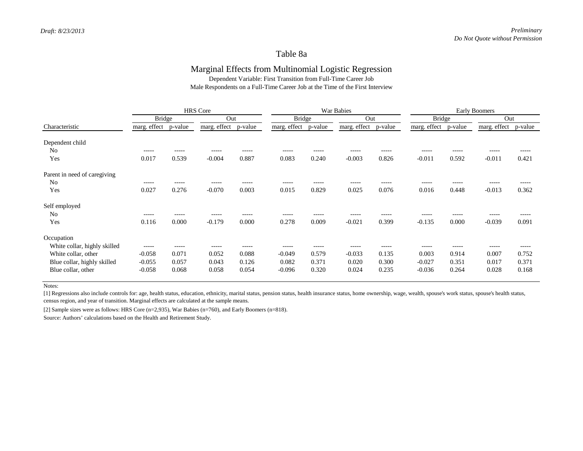# Table 8a

# Marginal Effects from Multinomial Logistic Regression

Dependent Variable: First Transition from Full-Time Career Job Male Respondents on a Full-Time Career Job at the Time of the First Interview

|                              |               |             | HRS Core      |         | War Babies    |         |              |               | <b>Early Boomers</b> |         |               |         |
|------------------------------|---------------|-------------|---------------|---------|---------------|---------|--------------|---------------|----------------------|---------|---------------|---------|
|                              | <b>Bridge</b> |             | Out           |         | <b>Bridge</b> |         | Out          |               | <b>Bridge</b>        |         | Out           |         |
| Characteristic               | marg. effect  | p-value     | marg. effect  | p-value | marg. effect  | p-value | marg. effect | p-value       | marg. effect         | p-value | marg. effect  | p-value |
| Dependent child              |               |             |               |         |               |         |              |               |                      |         |               |         |
| N <sub>0</sub>               | $- - - - -$   | -----       | -----         | -----   | -----         | -----   | -----        | $- - - - -$   | -----                | -----   | $- - - - -$   | -----   |
| Yes                          | 0.017         | 0.539       | $-0.004$      | 0.887   | 0.083         | 0.240   | $-0.003$     | 0.826         | $-0.011$             | 0.592   | $-0.011$      | 0.421   |
| Parent in need of caregiving |               |             |               |         |               |         |              |               |                      |         |               |         |
| N <sub>0</sub>               | $- - - - -$   | -----       | $- - - - -$   | -----   | -----         | -----   | -----        | $- - - - -$   | -----                | -----   | $- - - - -$   | -----   |
| Yes                          | 0.027         | 0.276       | $-0.070$      | 0.003   | 0.015         | 0.829   | 0.025        | 0.076         | 0.016                | 0.448   | $-0.013$      | 0.362   |
| Self employed                |               |             |               |         |               |         |              |               |                      |         |               |         |
| N <sub>0</sub>               | $\frac{1}{2}$ | $- - - - -$ | $\frac{1}{2}$ | -----   | -----         | -----   | -----        | $\frac{1}{2}$ | -----                | -----   | $\frac{1}{2}$ | -----   |
| Yes                          | 0.116         | 0.000       | $-0.179$      | 0.000   | 0.278         | 0.009   | $-0.021$     | 0.399         | $-0.135$             | 0.000   | $-0.039$      | 0.091   |
| Occupation                   |               |             |               |         |               |         |              |               |                      |         |               |         |
| White collar, highly skilled | -----         | -----       | -----         | -----   | -----         | -----   | -----        | -----         | -----                | -----   | -----         | -----   |
| White collar, other          | $-0.058$      | 0.071       | 0.052         | 0.088   | $-0.049$      | 0.579   | $-0.033$     | 0.135         | 0.003                | 0.914   | 0.007         | 0.752   |
| Blue collar, highly skilled  | $-0.055$      | 0.057       | 0.043         | 0.126   | 0.082         | 0.371   | 0.020        | 0.300         | $-0.027$             | 0.351   | 0.017         | 0.371   |
| Blue collar, other           | $-0.058$      | 0.068       | 0.058         | 0.054   | $-0.096$      | 0.320   | 0.024        | 0.235         | $-0.036$             | 0.264   | 0.028         | 0.168   |

Notes:

[1] Regressions also include controls for: age, health status, education, ethnicity, marital status, pension status, health insurance status, home ownership, wage, wealth, spouse's work status, spouse's health status, census region, and year of transition. Marginal effects are calculated at the sample means.

[2] Sample sizes were as follows: HRS Core (n=2,935), War Babies (n=760), and Early Boomers (n=818).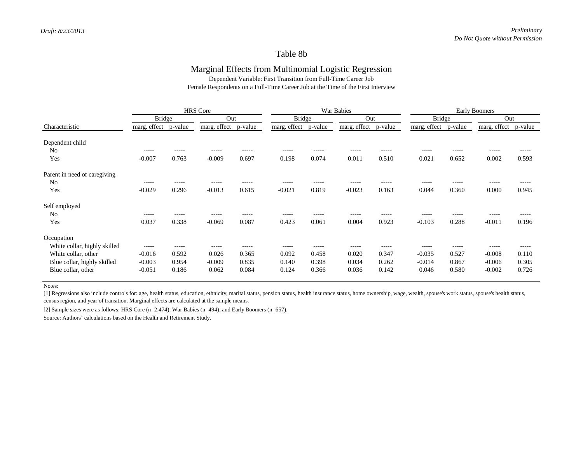# Table 8b

# Marginal Effects from Multinomial Logistic Regression

Dependent Variable: First Transition from Full-Time Career Job Female Respondents on a Full-Time Career Job at the Time of the First Interview

|                              |               | <b>HRS</b> Core |              | War Babies |               |         |              | <b>Early Boomers</b> |               |         |              |         |
|------------------------------|---------------|-----------------|--------------|------------|---------------|---------|--------------|----------------------|---------------|---------|--------------|---------|
|                              | <b>Bridge</b> |                 | Out          |            | <b>Bridge</b> |         | Out          |                      | <b>Bridge</b> |         | Out          |         |
| Characteristic               | marg. effect  | p-value         | marg. effect | p-value    | marg. effect  | p-value | marg. effect | p-value              | marg. effect  | p-value | marg. effect | p-value |
| Dependent child              |               |                 |              |            |               |         |              |                      |               |         |              |         |
| N <sub>0</sub>               | $- - - - -$   | -----           | -----        | -----      | -----         | -----   | -----        | -----                | -----         | -----   | -----        | -----   |
| Yes                          | $-0.007$      | 0.763           | $-0.009$     | 0.697      | 0.198         | 0.074   | 0.011        | 0.510                | 0.021         | 0.652   | 0.002        | 0.593   |
| Parent in need of caregiving |               |                 |              |            |               |         |              |                      |               |         |              |         |
| N <sub>0</sub>               |               | -----           | -----        | -----      | -----         | -----   | -----        | -----                | -----         | -----   | -----        | -----   |
| Yes                          | $-0.029$      | 0.296           | $-0.013$     | 0.615      | $-0.021$      | 0.819   | $-0.023$     | 0.163                | 0.044         | 0.360   | 0.000        | 0.945   |
| Self employed                |               |                 |              |            |               |         |              |                      |               |         |              |         |
| N <sub>0</sub>               | -----         | -----           | -----        | -----      | -----         | -----   | -----        | $- - - - -$          | -----         | -----   | -----        | -----   |
| Yes                          | 0.037         | 0.338           | $-0.069$     | 0.087      | 0.423         | 0.061   | 0.004        | 0.923                | $-0.103$      | 0.288   | $-0.011$     | 0.196   |
| Occupation                   |               |                 |              |            |               |         |              |                      |               |         |              |         |
| White collar, highly skilled | -----         | -----           | -----        | -----      | -----         | -----   | -----        | $- - - - -$          | -----         | -----   | -----        | -----   |
| White collar, other          | $-0.016$      | 0.592           | 0.026        | 0.365      | 0.092         | 0.458   | 0.020        | 0.347                | $-0.035$      | 0.527   | $-0.008$     | 0.110   |
| Blue collar, highly skilled  | $-0.003$      | 0.954           | $-0.009$     | 0.835      | 0.140         | 0.398   | 0.034        | 0.262                | $-0.014$      | 0.867   | $-0.006$     | 0.305   |
| Blue collar, other           | $-0.051$      | 0.186           | 0.062        | 0.084      | 0.124         | 0.366   | 0.036        | 0.142                | 0.046         | 0.580   | $-0.002$     | 0.726   |

Notes:

[1] Regressions also include controls for: age, health status, education, ethnicity, marital status, pension status, health insurance status, home ownership, wage, wealth, spouse's work status, spouse's health status, census region, and year of transition. Marginal effects are calculated at the sample means.

[2] Sample sizes were as follows: HRS Core (n=2,474), War Babies (n=494), and Early Boomers (n=657).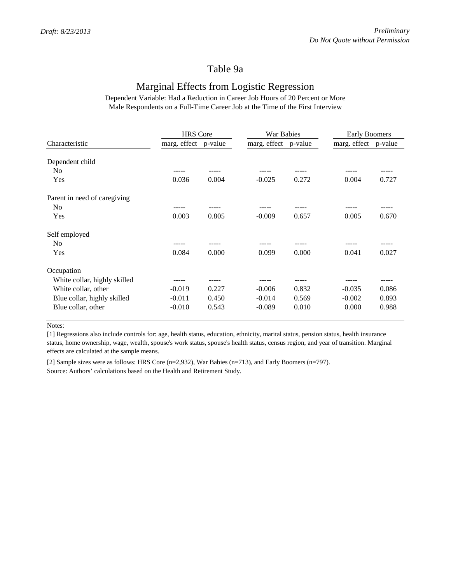# Table 9a

# Marginal Effects from Logistic Regression

Dependent Variable: Had a Reduction in Career Job Hours of 20 Percent or More Male Respondents on a Full-Time Career Job at the Time of the First Interview

|                              | <b>HRS</b> Core |         | War Babies   |         | <b>Early Boomers</b> |         |
|------------------------------|-----------------|---------|--------------|---------|----------------------|---------|
| Characteristic               | marg. effect    | p-value | marg. effect | p-value | marg. effect         | p-value |
| Dependent child              |                 |         |              |         |                      |         |
| N <sub>0</sub>               |                 |         |              |         |                      |         |
| Yes                          | 0.036           | 0.004   | $-0.025$     | 0.272   | 0.004                | 0.727   |
| Parent in need of caregiving |                 |         |              |         |                      |         |
| N <sub>0</sub>               |                 |         |              |         |                      |         |
| Yes                          | 0.003           | 0.805   | $-0.009$     | 0.657   | 0.005                | 0.670   |
| Self employed                |                 |         |              |         |                      |         |
| N <sub>0</sub>               |                 |         |              |         |                      |         |
| Yes                          | 0.084           | 0.000   | 0.099        | 0.000   | 0.041                | 0.027   |
| Occupation                   |                 |         |              |         |                      |         |
| White collar, highly skilled |                 |         |              |         |                      |         |
| White collar, other          | $-0.019$        | 0.227   | $-0.006$     | 0.832   | $-0.035$             | 0.086   |
| Blue collar, highly skilled  | $-0.011$        | 0.450   | $-0.014$     | 0.569   | $-0.002$             | 0.893   |
| Blue collar, other           | $-0.010$        | 0.543   | $-0.089$     | 0.010   | 0.000                | 0.988   |

Notes:

[1] Regressions also include controls for: age, health status, education, ethnicity, marital status, pension status, health insurance status, home ownership, wage, wealth, spouse's work status, spouse's health status, census region, and year of transition. Marginal effects are calculated at the sample means.

[2] Sample sizes were as follows: HRS Core (n=2,932), War Babies (n=713), and Early Boomers (n=797). Source: Authors' calculations based on the Health and Retirement Study.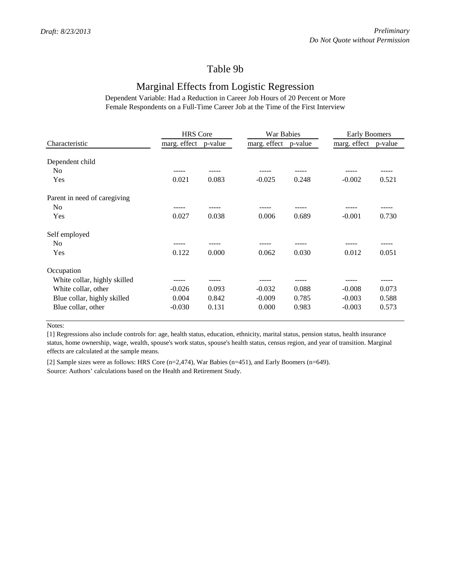# Table 9b

# Marginal Effects from Logistic Regression

Dependent Variable: Had a Reduction in Career Job Hours of 20 Percent or More Female Respondents on a Full-Time Career Job at the Time of the First Interview

|                              | <b>HRS</b> Core |         | War Babies   |         | <b>Early Boomers</b> |         |
|------------------------------|-----------------|---------|--------------|---------|----------------------|---------|
| Characteristic               | marg. effect    | p-value | marg. effect | p-value | marg. effect         | p-value |
| Dependent child              |                 |         |              |         |                      |         |
| N <sub>0</sub>               |                 |         |              |         |                      |         |
| Yes                          | 0.021           | 0.083   | $-0.025$     | 0.248   | $-0.002$             | 0.521   |
| Parent in need of caregiving |                 |         |              |         |                      |         |
| N <sub>0</sub>               |                 |         |              |         |                      |         |
| Yes                          | 0.027           | 0.038   | 0.006        | 0.689   | $-0.001$             | 0.730   |
| Self employed                |                 |         |              |         |                      |         |
| N <sub>0</sub>               |                 |         |              |         |                      |         |
| Yes                          | 0.122           | 0.000   | 0.062        | 0.030   | 0.012                | 0.051   |
| Occupation                   |                 |         |              |         |                      |         |
| White collar, highly skilled |                 |         |              |         |                      |         |
| White collar, other          | $-0.026$        | 0.093   | $-0.032$     | 0.088   | $-0.008$             | 0.073   |
| Blue collar, highly skilled  | 0.004           | 0.842   | $-0.009$     | 0.785   | $-0.003$             | 0.588   |
| Blue collar, other           | $-0.030$        | 0.131   | 0.000        | 0.983   | $-0.003$             | 0.573   |

Notes:

[1] Regressions also include controls for: age, health status, education, ethnicity, marital status, pension status, health insurance status, home ownership, wage, wealth, spouse's work status, spouse's health status, census region, and year of transition. Marginal effects are calculated at the sample means.

[2] Sample sizes were as follows: HRS Core (n=2,474), War Babies (n=451), and Early Boomers (n=649). Source: Authors' calculations based on the Health and Retirement Study.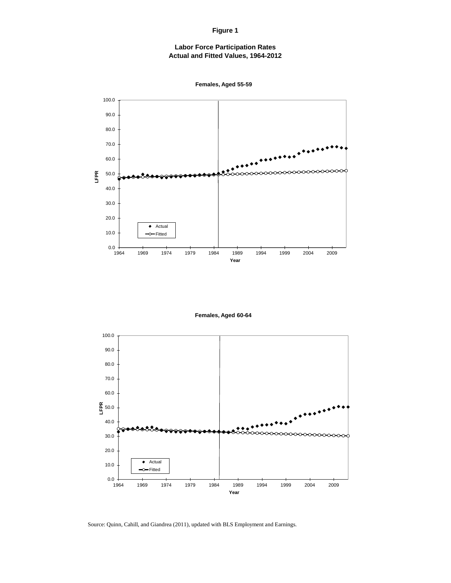**Figure 1**

### **Labor Force Participation Rates Actual and Fitted Values, 1964-2012**



**Females, Aged 60-64**



Source: Quinn, Cahill, and Giandrea (2011), updated with BLS Employment and Earnings.